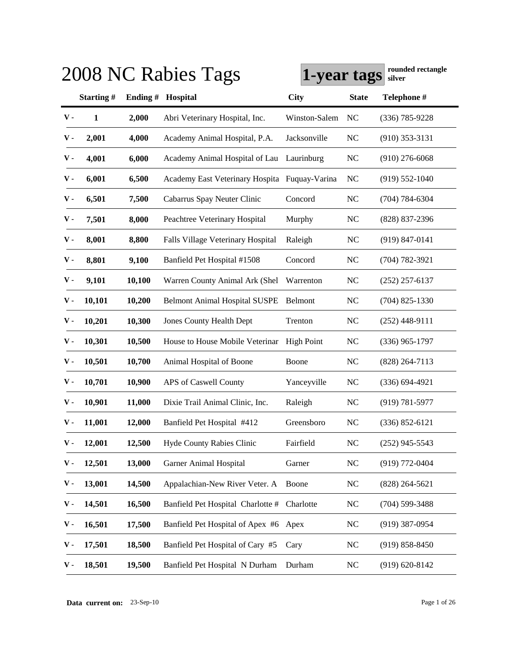|               |                  |         | 2008 NC Rabies Tags                           | 1-year tags       |                | rounded rectangle<br>silver |
|---------------|------------------|---------|-----------------------------------------------|-------------------|----------------|-----------------------------|
|               | <b>Starting#</b> | Ending# | Hospital                                      | <b>City</b>       | <b>State</b>   | Telephone #                 |
| ${\bf v}$ .   | $\mathbf{1}$     | 2,000   | Abri Veterinary Hospital, Inc.                | Winston-Salem     | NC             | $(336) 785 - 9228$          |
| v -           | 2,001            | 4,000   | Academy Animal Hospital, P.A.                 | Jacksonville      | <b>NC</b>      | $(910)$ 353-3131            |
| ${\bf v}$ .   | 4,001            | 6,000   | Academy Animal Hospital of Lau                | Laurinburg        | <b>NC</b>      | $(910)$ 276-6068            |
| ${\bf v}$ .   | 6,001            | 6,500   | Academy East Veterinary Hospita Fuquay-Varina |                   | N <sub>C</sub> | $(919) 552 - 1040$          |
| ${\bf v}$ .   | 6,501            | 7,500   | Cabarrus Spay Neuter Clinic                   | Concord           | <b>NC</b>      | $(704) 784 - 6304$          |
| ${\bf v}$ .   | 7,501            | 8,000   | Peachtree Veterinary Hospital                 | Murphy            | <b>NC</b>      | $(828)$ 837-2396            |
| ${\bf v}$ .   | 8,001            | 8,800   | Falls Village Veterinary Hospital             | Raleigh           | <b>NC</b>      | $(919)$ 847-0141            |
| ${\bf v}$ .   | 8,801            | 9,100   | Banfield Pet Hospital #1508                   | Concord           | <b>NC</b>      | $(704) 782 - 3921$          |
| ${\bf v}$ .   | 9,101            | 10,100  | Warren County Animal Ark (Shel                | Warrenton         | <b>NC</b>      | $(252)$ 257-6137            |
| ${\bf v}$ .   | 10,101           | 10,200  | <b>Belmont Animal Hospital SUSPE</b>          | Belmont           | <b>NC</b>      | $(704)$ 825-1330            |
| v -           | 10,201           | 10,300  | <b>Jones County Health Dept</b>               | Trenton           | <b>NC</b>      | $(252)$ 448-9111            |
| v -           | 10,301           | 10,500  | House to House Mobile Veterinar               | <b>High Point</b> | <b>NC</b>      | $(336)$ 965-1797            |
| v -           | 10,501           | 10,700  | Animal Hospital of Boone                      | Boone             | <b>NC</b>      | $(828)$ 264-7113            |
| v -           | 10,701           | 10,900  | APS of Caswell County                         | Yanceyville       | <b>NC</b>      | $(336) 694 - 4921$          |
| v -           | 10,901           | 11,000  | Dixie Trail Animal Clinic, Inc.               | Raleigh           | <b>NC</b>      | $(919) 781 - 5977$          |
| v -           | 11,001           | 12,000  | Banfield Pet Hospital #412                    | Greensboro        | N <sub>C</sub> | $(336) 852 - 6121$          |
| $\mathbf v$ - | 12,001           | 12,500  | Hyde County Rabies Clinic                     | Fairfield         | <b>NC</b>      | $(252)$ 945-5543            |
| v -           | 12,501           | 13,000  | <b>Garner Animal Hospital</b>                 | Garner            | NC             | (919) 772-0404              |
| ν.            | 13,001           | 14,500  | Appalachian-New River Veter. A                | Boone             | <b>NC</b>      | $(828)$ 264-5621            |
| ν.            | 14,501           | 16,500  | Banfield Pet Hospital Charlotte #             | Charlotte         | <b>NC</b>      | $(704)$ 599-3488            |
| ν.            | 16,501           | 17,500  | Banfield Pet Hospital of Apex #6              | Apex              | <b>NC</b>      | $(919)$ 387-0954            |
| ν.            | 17,501           | 18,500  | Banfield Pet Hospital of Cary #5              | Cary              | <b>NC</b>      | $(919) 858 - 8450$          |
| v -           | 18,501           | 19,500  | Banfield Pet Hospital N Durham                | Durham            | <b>NC</b>      | $(919) 620 - 8142$          |

**Data current on:** 23-Sep-10 Page 1 of 26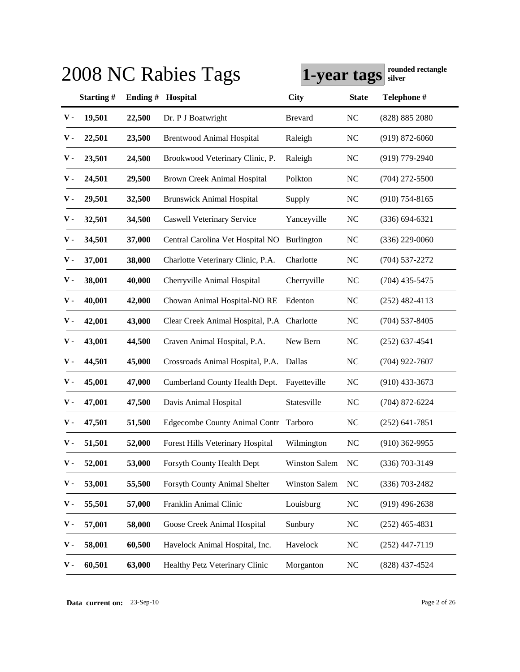|             |                  |         | 2008 NC Rabies Tags                        | 1-year tags          |                | rounded rectangle<br>silver |
|-------------|------------------|---------|--------------------------------------------|----------------------|----------------|-----------------------------|
|             | <b>Starting#</b> | Ending# | Hospital                                   | <b>City</b>          | <b>State</b>   | Telephone #                 |
| ${\bf v}$ . | 19,501           | 22,500  | Dr. P J Boatwright                         | <b>Brevard</b>       | <b>NC</b>      | (828) 885 2080              |
| v -         | 22,501           | 23,500  | <b>Brentwood Animal Hospital</b>           | Raleigh              | <b>NC</b>      | $(919) 872 - 6060$          |
| ν.          | 23,501           | 24,500  | Brookwood Veterinary Clinic, P.            | Raleigh              | <b>NC</b>      | $(919)$ 779-2940            |
| v -         | 24,501           | 29,500  | <b>Brown Creek Animal Hospital</b>         | Polkton              | <b>NC</b>      | $(704)$ 272-5500            |
| v -         | 29,501           | 32,500  | <b>Brunswick Animal Hospital</b>           | Supply               | <b>NC</b>      | $(910)$ 754-8165            |
| v -         | 32,501           | 34,500  | <b>Caswell Veterinary Service</b>          | Yanceyville          | <b>NC</b>      | $(336) 694 - 6321$          |
| v -         | 34,501           | 37,000  | Central Carolina Vet Hospital NO           | Burlington           | <b>NC</b>      | $(336)$ 229-0060            |
| ${\bf v}$ . | 37,001           | 38,000  | Charlotte Veterinary Clinic, P.A.          | Charlotte            | <b>NC</b>      | $(704)$ 537-2272            |
| v -         | 38,001           | 40,000  | Cherryville Animal Hospital                | Cherryville          | <b>NC</b>      | $(704)$ 435-5475            |
| v -         | 40,001           | 42,000  | Chowan Animal Hospital-NO RE               | Edenton              | <b>NC</b>      | $(252)$ 482-4113            |
| v -         | 42,001           | 43,000  | Clear Creek Animal Hospital, P.A Charlotte |                      | <b>NC</b>      | $(704)$ 537-8405            |
| v -         | 43,001           | 44,500  | Craven Animal Hospital, P.A.               | New Bern             | <b>NC</b>      | $(252)$ 637-4541            |
| v -         | 44,501           | 45,000  | Crossroads Animal Hospital, P.A. Dallas    |                      | <b>NC</b>      | $(704)$ 922-7607            |
| v -         | 45,001           | 47,000  | Cumberland County Health Dept.             | Fayetteville         | <b>NC</b>      | $(910)$ 433-3673            |
| v -         | 47,001           | 47,500  | Davis Animal Hospital                      | Statesville          | <b>NC</b>      | $(704)$ 872-6224            |
| v -         | 47,501           | 51,500  | <b>Edgecombe County Animal Contr</b>       | Tarboro              | N <sub>C</sub> | $(252)$ 641-7851            |
| ${\bf v}$ - | 51,501           | 52,000  | Forest Hills Veterinary Hospital           | Wilmington           | <b>NC</b>      | $(910)$ 362-9955            |
| v -         | 52,001           | 53,000  | Forsyth County Health Dept                 | <b>Winston Salem</b> | <b>NC</b>      | $(336)$ 703-3149            |
| ν.          | 53,001           | 55,500  | Forsyth County Animal Shelter              | Winston Salem        | $NC$           | $(336)$ 703-2482            |
| ν.          | 55,501           | 57,000  | Franklin Animal Clinic                     | Louisburg            | $\rm NC$       | $(919)$ 496-2638            |
| ν.          | 57,001           | 58,000  | Goose Creek Animal Hospital                | Sunbury              | <b>NC</b>      | $(252)$ 465-4831            |
| ν.          | 58,001           | 60,500  | Havelock Animal Hospital, Inc.             | Havelock             | NC             | $(252)$ 447-7119            |
| v -         | 60,501           | 63,000  | Healthy Petz Veterinary Clinic             | Morganton            | <b>NC</b>      | $(828)$ 437-4524            |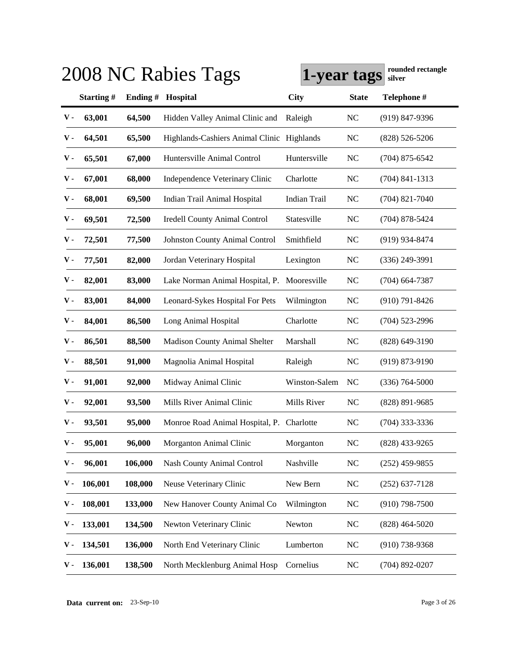|             |           |         | 2008 NC Rabies Tags                         | 1-year tags         |                | rounded rectangle<br>silver |
|-------------|-----------|---------|---------------------------------------------|---------------------|----------------|-----------------------------|
|             | Starting# | Ending# | Hospital                                    | <b>City</b>         | <b>State</b>   | Telephone #                 |
| ${\bf v}$ . | 63,001    | 64,500  | Hidden Valley Animal Clinic and             | Raleigh             | <b>NC</b>      | $(919)$ 847-9396            |
| ν.          | 64,501    | 65,500  | Highlands-Cashiers Animal Clinic Highlands  |                     | <b>NC</b>      | $(828)$ 526-5206            |
| ν.          | 65,501    | 67,000  | Huntersville Animal Control                 | Huntersville        | <b>NC</b>      | $(704)$ 875-6542            |
| ν.          | 67,001    | 68,000  | Independence Veterinary Clinic              | Charlotte           | <b>NC</b>      | $(704)$ 841-1313            |
| ν.          | 68,001    | 69,500  | Indian Trail Animal Hospital                | <b>Indian Trail</b> | <b>NC</b>      | $(704)$ 821-7040            |
| v -         | 69,501    | 72,500  | <b>Iredell County Animal Control</b>        | Statesville         | <b>NC</b>      | $(704)$ 878-5424            |
| v -         | 72,501    | 77,500  | <b>Johnston County Animal Control</b>       | Smithfield          | <b>NC</b>      | $(919)$ 934-8474            |
| v -         | 77,501    | 82,000  | Jordan Veterinary Hospital                  | Lexington           | <b>NC</b>      | $(336)$ 249-3991            |
| v -         | 82,001    | 83,000  | Lake Norman Animal Hospital, P. Mooresville |                     | <b>NC</b>      | $(704)$ 664-7387            |
| v -         | 83,001    | 84,000  | Leonard-Sykes Hospital For Pets             | Wilmington          | <b>NC</b>      | $(910)$ 791-8426            |
| v -         | 84,001    | 86,500  | Long Animal Hospital                        | Charlotte           | <b>NC</b>      | $(704)$ 523-2996            |
| v -         | 86,501    | 88,500  | <b>Madison County Animal Shelter</b>        | Marshall            | <b>NC</b>      | $(828)$ 649-3190            |
| v -         | 88,501    | 91,000  | Magnolia Animal Hospital                    | Raleigh             | <b>NC</b>      | $(919) 873 - 9190$          |
| v -         | 91,001    | 92,000  | Midway Animal Clinic                        | Winston-Salem       | N <sub>C</sub> | $(336) 764 - 5000$          |
| v -         | 92,001    | 93,500  | Mills River Animal Clinic                   | Mills River         | N <sub>C</sub> | $(828)$ 891-9685            |
| v -         | 93,501    | 95,000  | Monroe Road Animal Hospital, P. Charlotte   |                     | N <sub>C</sub> | $(704)$ 333-3336            |
| ${\bf v}$ - | 95,001    | 96,000  | Morganton Animal Clinic                     | Morganton           | <b>NC</b>      | $(828)$ 433-9265            |
| v -         | 96,001    | 106,000 | Nash County Animal Control                  | Nashville           | <b>NC</b>      | $(252)$ 459-9855            |
| ν.          | 106,001   | 108,000 | Neuse Veterinary Clinic                     | New Bern            | <b>NC</b>      | $(252)$ 637-7128            |
| ν.          | 108,001   | 133,000 | New Hanover County Animal Co                | Wilmington          | <b>NC</b>      | $(910)$ 798-7500            |
| ν.          | 133,001   | 134,500 | Newton Veterinary Clinic                    | Newton              | <b>NC</b>      | $(828)$ 464-5020            |
| ν.          | 134,501   | 136,000 | North End Veterinary Clinic                 | Lumberton           | <b>NC</b>      | $(910)$ 738-9368            |
| ν.          | 136,001   | 138,500 | North Mecklenburg Animal Hosp               | Cornelius           | <b>NC</b>      | $(704)$ 892-0207            |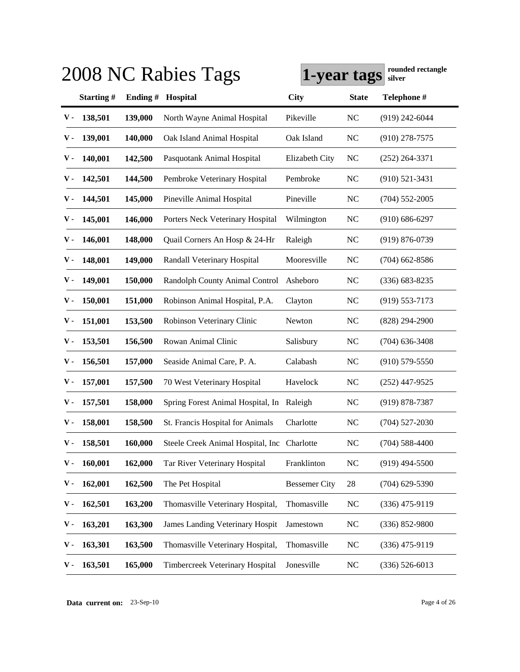|               |           |         | 2008 NC Rabies Tags                         | 1-year tags          |                | rounded rectangle<br>silver |
|---------------|-----------|---------|---------------------------------------------|----------------------|----------------|-----------------------------|
|               | Starting# | Ending# | Hospital                                    | <b>City</b>          | <b>State</b>   | Telephone #                 |
| ${\bf v}$ .   | 138,501   | 139,000 | North Wayne Animal Hospital                 | Pikeville            | <b>NC</b>      | $(919)$ 242-6044            |
| v -           | 139,001   | 140,000 | Oak Island Animal Hospital                  | Oak Island           | <b>NC</b>      | $(910)$ 278-7575            |
| ν.            | 140,001   | 142,500 | Pasquotank Animal Hospital                  | Elizabeth City       | <b>NC</b>      | $(252)$ 264-3371            |
| ν.            | 142,501   | 144,500 | Pembroke Veterinary Hospital                | Pembroke             | <b>NC</b>      | $(910)$ 521-3431            |
| ν.            | 144,501   | 145,000 | Pineville Animal Hospital                   | Pineville            | <b>NC</b>      | $(704)$ 552-2005            |
| ν.            | 145,001   | 146,000 | Porters Neck Veterinary Hospital            | Wilmington           | <b>NC</b>      | $(910) 686 - 6297$          |
| v -           | 146,001   | 148,000 | Quail Corners An Hosp & 24-Hr               | Raleigh              | <b>NC</b>      | $(919) 876 - 0739$          |
| ν.            | 148,001   | 149,000 | Randall Veterinary Hospital                 | Mooresville          | <b>NC</b>      | $(704)$ 662-8586            |
| v -           | 149,001   | 150,000 | Randolph County Animal Control              | Asheboro             | <b>NC</b>      | $(336)$ 683-8235            |
| v -           | 150,001   | 151,000 | Robinson Animal Hospital, P.A.              | Clayton              | <b>NC</b>      | $(919)$ 553-7173            |
| v -           | 151,001   | 153,500 | Robinson Veterinary Clinic                  | Newton               | <b>NC</b>      | $(828)$ 294-2900            |
| v -           | 153,501   | 156,500 | Rowan Animal Clinic                         | Salisbury            | <b>NC</b>      | $(704)$ 636-3408            |
| v -           | 156,501   | 157,000 | Seaside Animal Care, P. A.                  | Calabash             | <b>NC</b>      | $(910)$ 579-5550            |
| v -           | 157,001   | 157,500 | 70 West Veterinary Hospital                 | Havelock             | <b>NC</b>      | $(252)$ 447-9525            |
| v -           | 157,501   | 158,000 | Spring Forest Animal Hospital, In Raleigh   |                      | <b>NC</b>      | $(919) 878 - 7387$          |
| v -           | 158,001   | 158,500 | St. Francis Hospital for Animals            | Charlotte            | N <sub>C</sub> | $(704)$ 527-2030            |
| $\mathbf V$ - | 158,501   | 160,000 | Steele Creek Animal Hospital, Inc Charlotte |                      | <b>NC</b>      | $(704)$ 588-4400            |
| ν.            | 160,001   | 162,000 | Tar River Veterinary Hospital               | Franklinton          | <b>NC</b>      | $(919)$ 494-5500            |
| ν.            | 162,001   | 162,500 | The Pet Hospital                            | <b>Bessemer City</b> | 28             | $(704)$ 629-5390            |
| ν.            | 162,501   | 163,200 | Thomasville Veterinary Hospital,            | Thomasville          | <b>NC</b>      | $(336)$ 475-9119            |
| ν.            | 163,201   | 163,300 | James Landing Veterinary Hospit             | Jamestown            | <b>NC</b>      | $(336) 852 - 9800$          |
| ν.            | 163,301   | 163,500 | Thomasville Veterinary Hospital,            | Thomasville          | <b>NC</b>      | $(336)$ 475-9119            |
| ν.            | 163,501   | 165,000 | Timbercreek Veterinary Hospital             | Jonesville           | <b>NC</b>      | $(336) 526 - 6013$          |

**Data current on:** 23-Sep-10 Page 4 of 26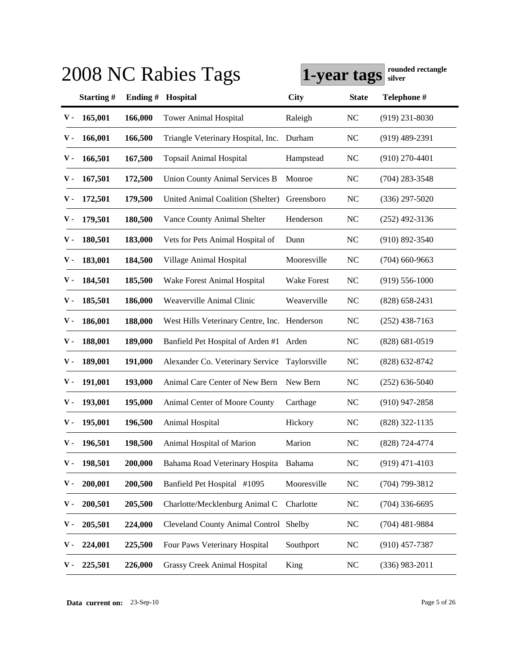|               |                  |         | 2008 NC Rabies Tags                          | 1-year tags        |                | rounded rectangle<br>silver |
|---------------|------------------|---------|----------------------------------------------|--------------------|----------------|-----------------------------|
|               | <b>Starting#</b> | Ending# | Hospital                                     | <b>City</b>        | <b>State</b>   | Telephone #                 |
| ${\bf v}$ .   | 165,001          | 166,000 | <b>Tower Animal Hospital</b>                 | Raleigh            | <b>NC</b>      | $(919)$ 231-8030            |
| ν.            | 166,001          | 166,500 | Triangle Veterinary Hospital, Inc.           | Durham             | <b>NC</b>      | $(919)$ 489-2391            |
| ν.            | 166,501          | 167,500 | <b>Topsail Animal Hospital</b>               | Hampstead          | <b>NC</b>      | $(910)$ 270-4401            |
| ν.            | 167,501          | 172,500 | <b>Union County Animal Services B</b>        | Monroe             | <b>NC</b>      | $(704)$ 283-3548            |
| v -           | 172,501          | 179,500 | United Animal Coalition (Shelter)            | Greensboro         | <b>NC</b>      | $(336)$ 297-5020            |
| ν.            | 179,501          | 180,500 | Vance County Animal Shelter                  | Henderson          | <b>NC</b>      | $(252)$ 492-3136            |
| v -           | 180,501          | 183,000 | Vets for Pets Animal Hospital of             | Dunn               | <b>NC</b>      | $(910) 892 - 3540$          |
| v -           | 183,001          | 184,500 | Village Animal Hospital                      | Mooresville        | NC             | $(704)$ 660-9663            |
| v -           | 184,501          | 185,500 | Wake Forest Animal Hospital                  | <b>Wake Forest</b> | <b>NC</b>      | $(919)$ 556-1000            |
| v -           | 185,501          | 186,000 | Weaverville Animal Clinic                    | Weaverville        | NC             | $(828)$ 658-2431            |
| v -           | 186,001          | 188,000 | West Hills Veterinary Centre, Inc. Henderson |                    | <b>NC</b>      | $(252)$ 438-7163            |
| v -           | 188,001          | 189,000 | Banfield Pet Hospital of Arden #1 Arden      |                    | <b>NC</b>      | $(828) 681 - 0519$          |
| v -           | 189,001          | 191,000 | Alexander Co. Veterinary Service             | Taylorsville       | <b>NC</b>      | $(828)$ 632-8742            |
| v -           | 191,001          | 193,000 | Animal Care Center of New Bern               | New Bern           | <b>NC</b>      | $(252)$ 636-5040            |
| v -           | 193,001          | 195,000 | Animal Center of Moore County                | Carthage           | <b>NC</b>      | $(910)$ 947-2858            |
| v -           | 195,001          | 196,500 | Animal Hospital                              | Hickory            | N <sub>C</sub> | (828) 322-1135              |
| $\mathbf V$ - | 196,501          | 198,500 | Animal Hospital of Marion                    | Marion             | <b>NC</b>      | $(828)$ 724-4774            |
| ν.            | 198,501          | 200,000 | Bahama Road Veterinary Hospita               | Bahama             | <b>NC</b>      | $(919)$ 471-4103            |
| ν.            | 200,001          | 200,500 | Banfield Pet Hospital #1095                  | Mooresville        | <b>NC</b>      | $(704)$ 799-3812            |
| ν.            | 200,501          | 205,500 | Charlotte/Mecklenburg Animal C               | Charlotte          | <b>NC</b>      | $(704)$ 336-6695            |
| ν.            | 205,501          | 224,000 | <b>Cleveland County Animal Control</b>       | Shelby             | <b>NC</b>      | $(704)$ 481-9884            |
| ν.            | 224,001          | 225,500 | Four Paws Veterinary Hospital                | Southport          | <b>NC</b>      | $(910)$ 457-7387            |
| ν.            | 225,501          | 226,000 | <b>Grassy Creek Animal Hospital</b>          | King               | <b>NC</b>      | $(336)$ 983-2011            |

**Data current on:** 23-Sep-10 Page 5 of 26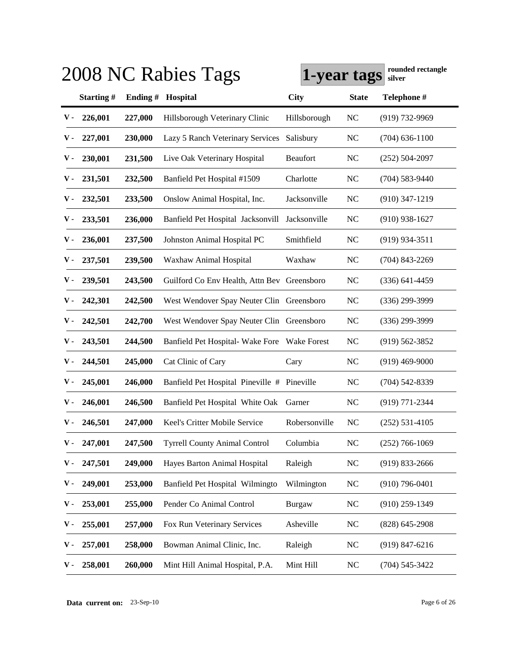|             |           |         | 2008 NC Rabies Tags                         | 1-year tags     |                | rounded rectangle<br>silver |
|-------------|-----------|---------|---------------------------------------------|-----------------|----------------|-----------------------------|
|             | Starting# | Ending# | Hospital                                    | <b>City</b>     | <b>State</b>   | Telephone #                 |
| v -         | 226,001   | 227,000 | Hillsborough Veterinary Clinic              | Hillsborough    | <b>NC</b>      | $(919) 732 - 9969$          |
| v -         | 227,001   | 230,000 | Lazy 5 Ranch Veterinary Services            | Salisbury       | <b>NC</b>      | $(704)$ 636-1100            |
| v -         | 230,001   | 231,500 | Live Oak Veterinary Hospital                | <b>Beaufort</b> | <b>NC</b>      | $(252) 504 - 2097$          |
| v -         | 231,501   | 232,500 | Banfield Pet Hospital #1509                 | Charlotte       | <b>NC</b>      | $(704)$ 583-9440            |
| v -         | 232,501   | 233,500 | Onslow Animal Hospital, Inc.                | Jacksonville    | <b>NC</b>      | $(910)$ 347-1219            |
| v -         | 233,501   | 236,000 | Banfield Pet Hospital Jacksonvill           | Jacksonville    | <b>NC</b>      | $(910)$ 938-1627            |
| v -         | 236,001   | 237,500 | Johnston Animal Hospital PC                 | Smithfield      | <b>NC</b>      | $(919)$ 934-3511            |
| v -         | 237,501   | 239,500 | Waxhaw Animal Hospital                      | Waxhaw          | <b>NC</b>      | $(704)$ 843-2269            |
| v -         | 239,501   | 243,500 | Guilford Co Env Health, Attn Bev Greensboro |                 | <b>NC</b>      | $(336)$ 641-4459            |
| ν.          | 242,301   | 242,500 | West Wendover Spay Neuter Clin Greensboro   |                 | <b>NC</b>      | $(336)$ 299-3999            |
| ν.          | 242,501   | 242,700 | West Wendover Spay Neuter Clin Greensboro   |                 | <b>NC</b>      | $(336)$ 299-3999            |
| ν.          | 243,501   | 244,500 | Banfield Pet Hospital-Wake Fore Wake Forest |                 | <b>NC</b>      | $(919) 562 - 3852$          |
| ν.          | 244,501   | 245,000 | Cat Clinic of Cary                          | Cary            | <b>NC</b>      | $(919)$ 469-9000            |
| v -         | 245,001   | 246,000 | Banfield Pet Hospital Pineville # Pineville |                 | <b>NC</b>      | $(704)$ 542-8339            |
| v -         | 246,001   | 246,500 | Banfield Pet Hospital White Oak             | Garner          | <b>NC</b>      | $(919)$ 771-2344            |
| v -         | 246,501   | 247,000 | Keel's Critter Mobile Service               | Robersonville   | N <sub>C</sub> | $(252)$ 531-4105            |
| ${\bf v}$ - | 247,001   | 247,500 | <b>Tyrrell County Animal Control</b>        | Columbia        | <b>NC</b>      | $(252)$ 766-1069            |
| ν.          | 247,501   | 249,000 | Hayes Barton Animal Hospital                | Raleigh         | NC             | $(919)$ 833-2666            |
| ν.          | 249,001   | 253,000 | Banfield Pet Hospital Wilmingto             | Wilmington      | <b>NC</b>      | $(910)$ 796-0401            |
| ν.          | 253,001   | 255,000 | Pender Co Animal Control                    | <b>Burgaw</b>   | <b>NC</b>      | $(910)$ 259-1349            |
| ν.          | 255,001   | 257,000 | Fox Run Veterinary Services                 | Asheville       | <b>NC</b>      | $(828)$ 645-2908            |
| ν.          | 257,001   | 258,000 | Bowman Animal Clinic, Inc.                  | Raleigh         | <b>NC</b>      | $(919)$ 847-6216            |
| ν.          | 258,001   | 260,000 | Mint Hill Animal Hospital, P.A.             | Mint Hill       | <b>NC</b>      | $(704) 545 - 3422$          |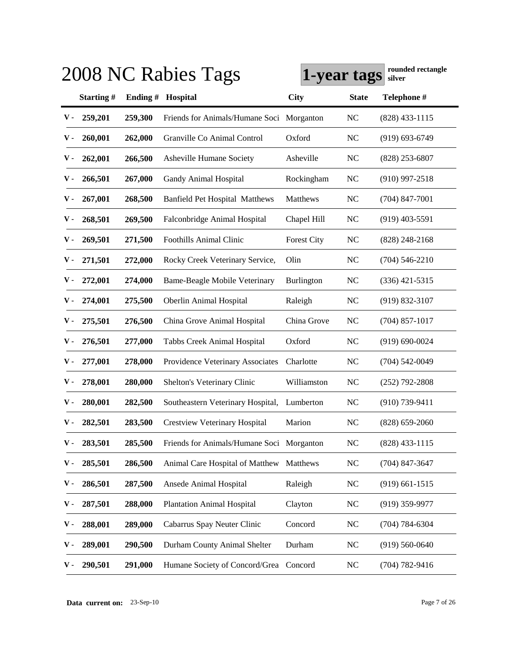|               |           |          | 2008 NC Rabies Tags                       | 1-year tags        |                | rounded rectangle<br>silver |
|---------------|-----------|----------|-------------------------------------------|--------------------|----------------|-----------------------------|
|               | Starting# | Ending # | Hospital                                  | <b>City</b>        | <b>State</b>   | Telephone #                 |
| v -           | 259,201   | 259,300  | Friends for Animals/Humane Soci Morganton |                    | <b>NC</b>      | $(828)$ 433-1115            |
| ν.            | 260,001   | 262,000  | Granville Co Animal Control               | Oxford             | <b>NC</b>      | $(919) 693 - 6749$          |
| ν.            | 262,001   | 266,500  | Asheville Humane Society                  | Asheville          | <b>NC</b>      | $(828)$ 253-6807            |
| v -           | 266,501   | 267,000  | Gandy Animal Hospital                     | Rockingham         | <b>NC</b>      | $(910)$ 997-2518            |
| v -           | 267,001   | 268,500  | <b>Banfield Pet Hospital Matthews</b>     | Matthews           | <b>NC</b>      | $(704)$ 847-7001            |
| v -           | 268,501   | 269,500  | Falconbridge Animal Hospital              | Chapel Hill        | <b>NC</b>      | $(919)$ 403-5591            |
| v -           | 269,501   | 271,500  | <b>Foothills Animal Clinic</b>            | <b>Forest City</b> | <b>NC</b>      | $(828)$ 248-2168            |
| ν.            | 271,501   | 272,000  | Rocky Creek Veterinary Service,           | Olin               | <b>NC</b>      | $(704)$ 546-2210            |
| ν.            | 272,001   | 274,000  | <b>Bame-Beagle Mobile Veterinary</b>      | Burlington         | <b>NC</b>      | $(336)$ 421-5315            |
| ν.            | 274,001   | 275,500  | <b>Oberlin Animal Hospital</b>            | Raleigh            | <b>NC</b>      | $(919) 832 - 3107$          |
| ν.            | 275,501   | 276,500  | China Grove Animal Hospital               | China Grove        | <b>NC</b>      | $(704)$ 857-1017            |
| ν.            | 276,501   | 277,000  | Tabbs Creek Animal Hospital               | Oxford             | <b>NC</b>      | $(919) 690 - 0024$          |
| ν.            | 277,001   | 278,000  | Providence Veterinary Associates          | Charlotte          | <b>NC</b>      | $(704) 542 - 0049$          |
| v -           | 278,001   | 280,000  | Shelton's Veterinary Clinic               | Williamston        | <b>NC</b>      | $(252)$ 792-2808            |
| v -           | 280,001   | 282,500  | Southeastern Veterinary Hospital,         | Lumberton          | <b>NC</b>      | $(910)$ 739-9411            |
| v -           | 282,501   | 283,500  | <b>Crestview Veterinary Hospital</b>      | Marion             | N <sub>C</sub> | $(828)$ 659-2060            |
| $\mathbf V$ - | 283,501   | 285,500  | Friends for Animals/Humane Soci Morganton |                    | <b>NC</b>      | $(828)$ 433-1115            |
| ν.            | 285,501   | 286,500  | Animal Care Hospital of Matthew           | Matthews           | <b>NC</b>      | $(704)$ 847-3647            |
| ν.            | 286,501   | 287,500  | Ansede Animal Hospital                    | Raleigh            | <b>NC</b>      | $(919)$ 661-1515            |
| ν.            | 287,501   | 288,000  | <b>Plantation Animal Hospital</b>         | Clayton            | <b>NC</b>      | $(919)$ 359-9977            |
| ν.            | 288,001   | 289,000  | Cabarrus Spay Neuter Clinic               | Concord            | <b>NC</b>      | $(704) 784 - 6304$          |
| ν.            | 289,001   | 290,500  | Durham County Animal Shelter              | Durham             | <b>NC</b>      | $(919) 560 - 0640$          |
| ν.            | 290,501   | 291,000  | Humane Society of Concord/Grea Concord    |                    | <b>NC</b>      | $(704) 782 - 9416$          |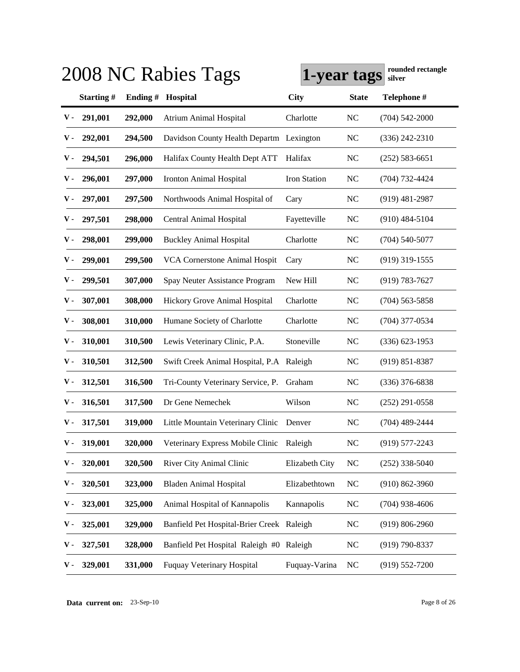|               |           |          | 2008 NC Rabies Tags                       | 1-year tags    |                | rounded rectangle<br>silver |
|---------------|-----------|----------|-------------------------------------------|----------------|----------------|-----------------------------|
|               | Starting# | Ending # | Hospital                                  | <b>City</b>    | <b>State</b>   | Telephone #                 |
| v -           | 291,001   | 292,000  | <b>Atrium Animal Hospital</b>             | Charlotte      | <b>NC</b>      | $(704) 542 - 2000$          |
| v -           | 292,001   | 294,500  | Davidson County Health Departm Lexington  |                | <b>NC</b>      | $(336)$ 242-2310            |
| v -           | 294,501   | 296,000  | Halifax County Health Dept ATT            | Halifax        | <b>NC</b>      | $(252) 583 - 6651$          |
| v -           | 296,001   | 297,000  | Ironton Animal Hospital                   | Iron Station   | <b>NC</b>      | $(704) 732 - 4424$          |
| v -           | 297,001   | 297,500  | Northwoods Animal Hospital of             | Cary           | <b>NC</b>      | $(919)$ 481-2987            |
| v -           | 297,501   | 298,000  | Central Animal Hospital                   | Fayetteville   | <b>NC</b>      | $(910)$ 484-5104            |
| v -           | 298,001   | 299,000  | <b>Buckley Animal Hospital</b>            | Charlotte      | <b>NC</b>      | $(704)$ 540-5077            |
| v -           | 299,001   | 299,500  | <b>VCA Cornerstone Animal Hospit</b>      | Cary           | <b>NC</b>      | $(919)$ 319-1555            |
| v -           | 299,501   | 307,000  | Spay Neuter Assistance Program            | New Hill       | <b>NC</b>      | $(919) 783 - 7627$          |
| v -           | 307,001   | 308,000  | Hickory Grove Animal Hospital             | Charlotte      | <b>NC</b>      | $(704)$ 563-5858            |
| v -           | 308,001   | 310,000  | Humane Society of Charlotte               | Charlotte      | <b>NC</b>      | $(704)$ 377-0534            |
| v -           | 310,001   | 310,500  | Lewis Veterinary Clinic, P.A.             | Stoneville     | <b>NC</b>      | $(336)$ 623-1953            |
| v -           | 310,501   | 312,500  | Swift Creek Animal Hospital, P.A Raleigh  |                | <b>NC</b>      | $(919) 851 - 8387$          |
| v -           | 312,501   | 316,500  | Tri-County Veterinary Service, P.         | Graham         | <b>NC</b>      | $(336)$ 376-6838            |
| v -           | 316,501   | 317,500  | Dr Gene Nemechek                          | Wilson         | <b>NC</b>      | $(252)$ 291-0558            |
| v -           | 317,501   | 319,000  | Little Mountain Veterinary Clinic         | Denver         | N <sub>C</sub> | $(704)$ 489-2444            |
| $\mathbf V$ - | 319,001   | 320,000  | Veterinary Express Mobile Clinic          | Raleigh        | <b>NC</b>      | $(919)$ 577-2243            |
| ν.            | 320,001   | 320,500  | River City Animal Clinic                  | Elizabeth City | <b>NC</b>      | $(252)$ 338-5040            |
| ν.            | 320,501   | 323,000  | <b>Bladen Animal Hospital</b>             | Elizabethtown  | <b>NC</b>      | $(910) 862 - 3960$          |
| ν.            | 323,001   | 325,000  | Animal Hospital of Kannapolis             | Kannapolis     | N <sub>C</sub> | $(704)$ 938-4606            |
| ν.            | 325,001   | 329,000  | Banfield Pet Hospital-Brier Creek Raleigh |                | <b>NC</b>      | $(919) 806 - 2960$          |
| ν.            | 327,501   | 328,000  | Banfield Pet Hospital Raleigh #0 Raleigh  |                | <b>NC</b>      | (919) 790-8337              |
| ν.            | 329,001   | 331,000  | Fuquay Veterinary Hospital                | Fuquay-Varina  | <b>NC</b>      | $(919) 552 - 7200$          |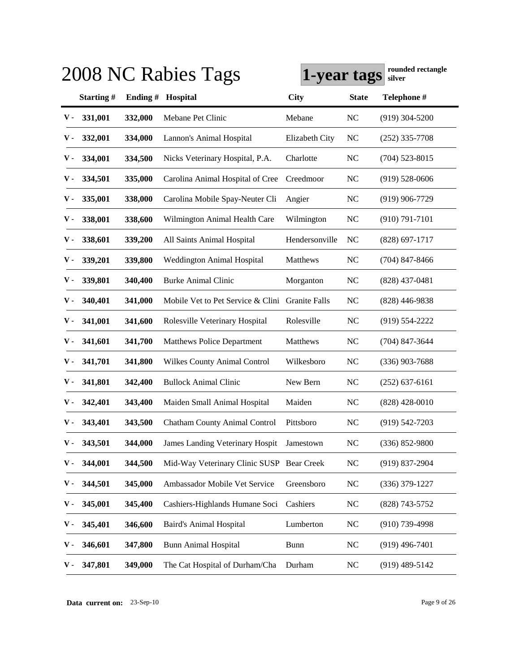|               |           |          | 2008 NC Rabies Tags                             | 1-year tags    |                | rounded rectangle<br>silver |
|---------------|-----------|----------|-------------------------------------------------|----------------|----------------|-----------------------------|
|               | Starting# | Ending # | Hospital                                        | <b>City</b>    | <b>State</b>   | Telephone #                 |
| ${\bf v}$ .   | 331,001   | 332,000  | Mebane Pet Clinic                               | Mebane         | <b>NC</b>      | $(919)$ 304-5200            |
| v -           | 332,001   | 334,000  | Lannon's Animal Hospital                        | Elizabeth City | <b>NC</b>      | $(252)$ 335-7708            |
| v -           | 334,001   | 334,500  | Nicks Veterinary Hospital, P.A.                 | Charlotte      | <b>NC</b>      | $(704)$ 523-8015            |
| v -           | 334,501   | 335,000  | Carolina Animal Hospital of Cree                | Creedmoor      | <b>NC</b>      | $(919)$ 528-0606            |
| v -           | 335,001   | 338,000  | Carolina Mobile Spay-Neuter Cli                 | Angier         | <b>NC</b>      | $(919)$ 906-7729            |
| v -           | 338,001   | 338,600  | Wilmington Animal Health Care                   | Wilmington     | <b>NC</b>      | $(910) 791 - 7101$          |
| v -           | 338,601   | 339,200  | All Saints Animal Hospital                      | Hendersonville | N <sub>C</sub> | $(828)$ 697-1717            |
| v -           | 339,201   | 339,800  | <b>Weddington Animal Hospital</b>               | Matthews       | <b>NC</b>      | $(704)$ 847-8466            |
| v -           | 339,801   | 340,400  | <b>Burke Animal Clinic</b>                      | Morganton      | <b>NC</b>      | $(828)$ 437-0481            |
| v -           | 340,401   | 341,000  | Mobile Vet to Pet Service & Clini Granite Falls |                | N <sub>C</sub> | $(828)$ 446-9838            |
| v -           | 341,001   | 341,600  | Rolesville Veterinary Hospital                  | Rolesville     | <b>NC</b>      | $(919) 554 - 2222$          |
| v -           | 341,601   | 341,700  | <b>Matthews Police Department</b>               | Matthews       | <b>NC</b>      | $(704)$ 847-3644            |
| v -           | 341,701   | 341,800  | <b>Wilkes County Animal Control</b>             | Wilkesboro     | <b>NC</b>      | $(336)$ 903-7688            |
| v -           | 341,801   | 342,400  | <b>Bullock Animal Clinic</b>                    | New Bern       | <b>NC</b>      | $(252)$ 637-6161            |
| v -           | 342,401   | 343,400  | Maiden Small Animal Hospital                    | Maiden         | <b>NC</b>      | $(828)$ 428-0010            |
| v -           | 343,401   | 343,500  | <b>Chatham County Animal Control</b>            | Pittsboro      | NC             | $(919) 542 - 7203$          |
| $\mathbf V$ - | 343,501   | 344,000  | James Landing Veterinary Hospit                 | Jamestown      | <b>NC</b>      | $(336) 852 - 9800$          |
| ν.            | 344,001   | 344,500  | Mid-Way Veterinary Clinic SUSP Bear Creek       |                | <b>NC</b>      | $(919)$ 837-2904            |
| ν.            | 344,501   | 345,000  | Ambassador Mobile Vet Service                   | Greensboro     | <b>NC</b>      | $(336)$ 379-1227            |
| ν.            | 345,001   | 345,400  | Cashiers-Highlands Humane Soci                  | Cashiers       | <b>NC</b>      | (828) 743-5752              |
| ν.            | 345,401   | 346,600  | <b>Baird's Animal Hospital</b>                  | Lumberton      | NC             | $(910)$ 739-4998            |
| ν.            | 346,601   | 347,800  | <b>Bunn Animal Hospital</b>                     | <b>Bunn</b>    | NC             | $(919)$ 496-7401            |
| ν.            | 347,801   | 349,000  | The Cat Hospital of Durham/Cha                  | Durham         | <b>NC</b>      | $(919)$ 489-5142            |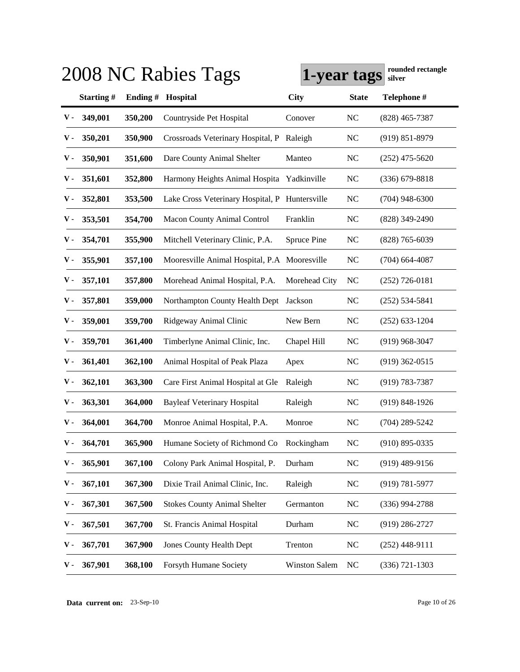|             |           |         | 2008 NC Rabies Tags                            | 1-year tags          |              | rounded rectangle<br>silver |
|-------------|-----------|---------|------------------------------------------------|----------------------|--------------|-----------------------------|
|             | Starting# | Ending# | Hospital                                       | <b>City</b>          | <b>State</b> | Telephone #                 |
| v -         | 349,001   | 350,200 | Countryside Pet Hospital                       | Conover              | NC           | $(828)$ 465-7387            |
| ν.          | 350,201   | 350,900 | Crossroads Veterinary Hospital, P              | Raleigh              | NC           | $(919) 851 - 8979$          |
| ν.          | 350,901   | 351,600 | Dare County Animal Shelter                     | Manteo               | NC           | $(252)$ 475-5620            |
| ν.          | 351,601   | 352,800 | Harmony Heights Animal Hospita                 | Yadkinville          | NC           | $(336)$ 679-8818            |
| ν.          | 352,801   | 353,500 | Lake Cross Veterinary Hospital, P Huntersville |                      | NC           | $(704)$ 948-6300            |
| ν.          | 353,501   | 354,700 | <b>Macon County Animal Control</b>             | Franklin             | NC           | $(828)$ 349-2490            |
| ν.          | 354,701   | 355,900 | Mitchell Veterinary Clinic, P.A.               | Spruce Pine          | NC           | $(828)$ 765-6039            |
| ν.          | 355,901   | 357,100 | Mooresville Animal Hospital, P.A Mooresville   |                      | NC           | $(704)$ 664-4087            |
| v -         | 357,101   | 357,800 | Morehead Animal Hospital, P.A.                 | Morehead City        | NC           | $(252)$ 726-0181            |
| v -         | 357,801   | 359,000 | Northampton County Health Dept Jackson         |                      | NC           | $(252)$ 534-5841            |
| v -         | 359,001   | 359,700 | Ridgeway Animal Clinic                         | New Bern             | NC           | $(252)$ 633-1204            |
| v -         | 359,701   | 361,400 | Timberlyne Animal Clinic, Inc.                 | Chapel Hill          | NC           | $(919)$ 968-3047            |
| v -         | 361,401   | 362,100 | Animal Hospital of Peak Plaza                  | Apex                 | NC           | $(919)$ 362-0515            |
| v -         | 362,101   | 363,300 | Care First Animal Hospital at Gle              | Raleigh              | NC           | $(919) 783 - 7387$          |
| v -         | 363,301   | 364,000 | <b>Bayleaf Veterinary Hospital</b>             | Raleigh              | NC           | $(919) 848 - 1926$          |
| v -         | 364,001   | 364,700 | Monroe Animal Hospital, P.A.                   | Monroe               | NC           | $(704)$ 289-5242            |
| ${\bf V}$ - | 364,701   | 365,900 | Humane Society of Richmond Co                  | Rockingham           | <b>NC</b>    | $(910)$ 895-0335            |
| ν.          | 365,901   | 367,100 | Colony Park Animal Hospital, P.                | Durham               | $\rm NC$     | $(919)$ 489-9156            |
| ν.          | 367,101   | 367,300 | Dixie Trail Animal Clinic, Inc.                | Raleigh              | NC           | $(919) 781 - 5977$          |
| ν.          | 367,301   | 367,500 | <b>Stokes County Animal Shelter</b>            | Germanton            | NC           | $(336)$ 994-2788            |
| ν.          | 367,501   | 367,700 | St. Francis Animal Hospital                    | Durham               | NC           | $(919)$ 286-2727            |
| ν.          | 367,701   | 367,900 | <b>Jones County Health Dept</b>                | Trenton              | NC           | $(252)$ 448-9111            |
| ν.          | 367,901   | 368,100 | Forsyth Humane Society                         | <b>Winston Salem</b> | NC           | $(336)$ 721-1303            |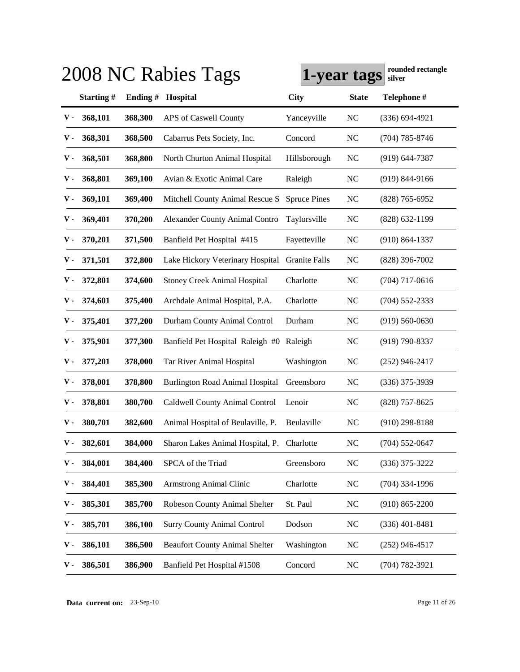|     |           |         | 2008 NC Rabies Tags                        | 1-year tags          |                | rounded rectangle<br>silver |
|-----|-----------|---------|--------------------------------------------|----------------------|----------------|-----------------------------|
|     | Starting# | Ending# | Hospital                                   | <b>City</b>          | <b>State</b>   | Telephone #                 |
| v - | 368,101   | 368,300 | APS of Caswell County                      | Yanceyville          | NC             | $(336) 694 - 4921$          |
| ν.  | 368,301   | 368,500 | Cabarrus Pets Society, Inc.                | Concord              | NC             | $(704)$ 785-8746            |
| ν.  | 368,501   | 368,800 | North Churton Animal Hospital              | Hillsborough         | NC             | $(919)$ 644-7387            |
| ν.  | 368,801   | 369,100 | Avian & Exotic Animal Care                 | Raleigh              | NC             | $(919) 844 - 9166$          |
| ν.  | 369,101   | 369,400 | Mitchell County Animal Rescue S            | <b>Spruce Pines</b>  | NC             | $(828)$ 765-6952            |
| ν.  | 369,401   | 370,200 | <b>Alexander County Animal Contro</b>      | Taylorsville         | NC             | $(828)$ 632-1199            |
| ν.  | 370,201   | 371,500 | Banfield Pet Hospital #415                 | Fayetteville         | N <sub>C</sub> | $(910) 864 - 1337$          |
| ν.  | 371,501   | 372,800 | Lake Hickory Veterinary Hospital           | <b>Granite Falls</b> | NC             | $(828)$ 396-7002            |
| v - | 372,801   | 374,600 | <b>Stoney Creek Animal Hospital</b>        | Charlotte            | NC             | $(704)$ 717-0616            |
| v - | 374,601   | 375,400 | Archdale Animal Hospital, P.A.             | Charlotte            | NC             | $(704)$ 552-2333            |
| v - | 375,401   | 377,200 | Durham County Animal Control               | Durham               | NC             | $(919)$ 560-0630            |
| v - | 375,901   | 377,300 | Banfield Pet Hospital Raleigh #0 Raleigh   |                      | NC             | $(919)$ 790-8337            |
| ν.  | 377,201   | 378,000 | Tar River Animal Hospital                  | Washington           | NC             | $(252)$ 946-2417            |
| v - | 378,001   | 378,800 | <b>Burlington Road Animal Hospital</b>     | Greensboro           | NC             | $(336)$ 375-3939            |
| v - | 378,801   | 380,700 | Caldwell County Animal Control             | Lenoir               | NC             | $(828)$ 757-8625            |
| v - | 380,701   | 382,600 | Animal Hospital of Beulaville, P.          | Beulaville           | NC             | $(910)$ 298-8188            |
| v - | 382,601   | 384,000 | Sharon Lakes Animal Hospital, P. Charlotte |                      | <b>NC</b>      | $(704)$ 552-0647            |
| ν.  | 384,001   | 384,400 | SPCA of the Triad                          | Greensboro           | NC             | $(336)$ 375-3222            |
| ν.  | 384,401   | 385,300 | Armstrong Animal Clinic                    | Charlotte            | NC             | $(704)$ 334-1996            |
| ν.  | 385,301   | 385,700 | Robeson County Animal Shelter              | St. Paul             | NC             | $(910) 865 - 2200$          |
| ν.  | 385,701   | 386,100 | <b>Surry County Animal Control</b>         | Dodson               | $\rm NC$       | $(336)$ 401-8481            |
| ν.  | 386,101   | 386,500 | <b>Beaufort County Animal Shelter</b>      | Washington           | <b>NC</b>      | $(252)$ 946-4517            |
| ν.  | 386,501   | 386,900 | Banfield Pet Hospital #1508                | Concord              | NC             | $(704) 782 - 3921$          |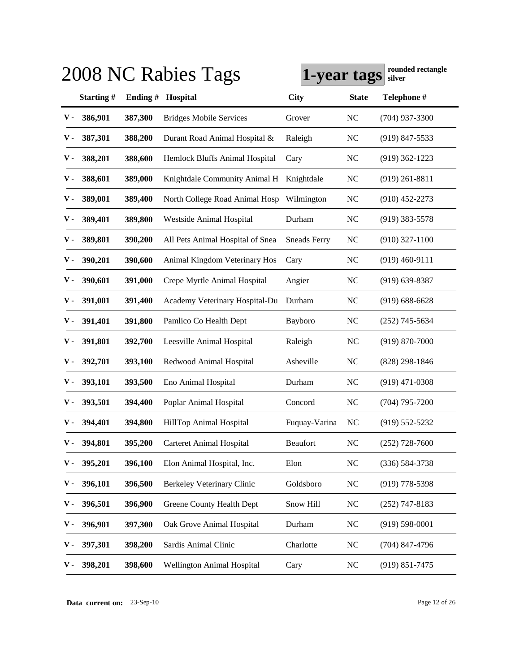|             |           |          | 2008 NC Rabies Tags              | 1-year tags         |                | rounded rectangle<br>silver |
|-------------|-----------|----------|----------------------------------|---------------------|----------------|-----------------------------|
|             | Starting# | Ending # | Hospital                         | <b>City</b>         | <b>State</b>   | Telephone #                 |
| v -         | 386,901   | 387,300  | <b>Bridges Mobile Services</b>   | Grover              | <b>NC</b>      | $(704)$ 937-3300            |
| ν.          | 387,301   | 388,200  | Durant Road Animal Hospital &    | Raleigh             | <b>NC</b>      | $(919)$ 847-5533            |
| v -         | 388,201   | 388,600  | Hemlock Bluffs Animal Hospital   | Cary                | <b>NC</b>      | $(919)$ 362-1223            |
| ν.          | 388,601   | 389,000  | Knightdale Community Animal H    | Knightdale          | <b>NC</b>      | $(919)$ 261-8811            |
| v -         | 389,001   | 389,400  | North College Road Animal Hosp   | Wilmington          | <b>NC</b>      | $(910)$ 452-2273            |
| v -         | 389,401   | 389,800  | Westside Animal Hospital         | Durham              | <b>NC</b>      | $(919)$ 383-5578            |
| v -         | 389,801   | 390,200  | All Pets Animal Hospital of Snea | <b>Sneads Ferry</b> | <b>NC</b>      | $(910)$ 327-1100            |
| v -         | 390,201   | 390,600  | Animal Kingdom Veterinary Hos    | Cary                | <b>NC</b>      | $(919)$ 460-9111            |
| v -         | 390,601   | 391,000  | Crepe Myrtle Animal Hospital     | Angier              | <b>NC</b>      | $(919)$ 639-8387            |
| v -         | 391,001   | 391,400  | Academy Veterinary Hospital-Du   | Durham              | <b>NC</b>      | $(919)$ 688-6628            |
| ν.          | 391,401   | 391,800  | Pamlico Co Health Dept           | Bayboro             | <b>NC</b>      | $(252)$ 745-5634            |
| v -         | 391,801   | 392,700  | Leesville Animal Hospital        | Raleigh             | <b>NC</b>      | $(919) 870 - 7000$          |
| v -         | 392,701   | 393,100  | Redwood Animal Hospital          | Asheville           | <b>NC</b>      | $(828)$ 298-1846            |
| v -         | 393,101   | 393,500  | Eno Animal Hospital              | Durham              | <b>NC</b>      | $(919)$ 471-0308            |
| v -         | 393,501   | 394,400  | Poplar Animal Hospital           | Concord             | <b>NC</b>      | $(704)$ 795-7200            |
| v -         | 394,401   | 394,800  | HillTop Animal Hospital          | Fuquay-Varina       | N <sub>C</sub> | $(919)$ 552-5232            |
| ${\bf V}$ - | 394,801   | 395,200  | Carteret Animal Hospital         | <b>Beaufort</b>     | <b>NC</b>      | $(252)$ 728-7600            |
| ν.          | 395,201   | 396,100  | Elon Animal Hospital, Inc.       | Elon                | NC             | $(336) 584 - 3738$          |
| ν.          | 396,101   | 396,500  | Berkeley Veterinary Clinic       | Goldsboro           | NC             | $(919)$ 778-5398            |
| ν.          | 396,501   | 396,900  | Greene County Health Dept        | Snow Hill           | NC             | $(252)$ 747-8183            |
| ν.          | 396,901   | 397,300  | Oak Grove Animal Hospital        | Durham              | NC             | $(919) 598 - 0001$          |
| ν.          | 397,301   | 398,200  | Sardis Animal Clinic             | Charlotte           | NC             | $(704)$ 847-4796            |
| ν.          | 398,201   | 398,600  | Wellington Animal Hospital       | Cary                | <b>NC</b>      | $(919)$ 851-7475            |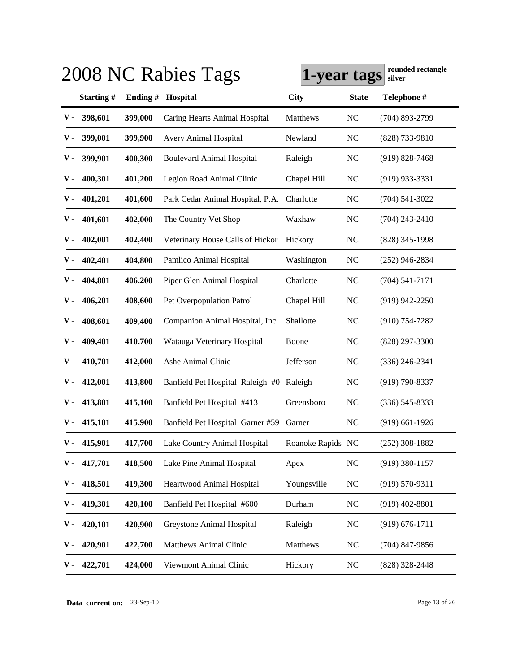|     |           |         | 2008 NC Rabies Tags                      | 1-year tags       |              | rounded rectangle<br>silver |
|-----|-----------|---------|------------------------------------------|-------------------|--------------|-----------------------------|
|     | Starting# | Ending# | Hospital                                 | <b>City</b>       | <b>State</b> | Telephone #                 |
| v - | 398,601   | 399,000 | Caring Hearts Animal Hospital            | Matthews          | NC           | $(704)$ 893-2799            |
| ν.  | 399,001   | 399,900 | Avery Animal Hospital                    | Newland           | NC           | $(828)$ 733-9810            |
| ν.  | 399,901   | 400,300 | <b>Boulevard Animal Hospital</b>         | Raleigh           | NC           | $(919)$ 828-7468            |
| ν.  | 400,301   | 401,200 | Legion Road Animal Clinic                | Chapel Hill       | NC           | $(919)$ 933-3331            |
| v - | 401,201   | 401,600 | Park Cedar Animal Hospital, P.A.         | Charlotte         | NC           | $(704)$ 541-3022            |
| ν.  | 401,601   | 402,000 | The Country Vet Shop                     | Waxhaw            | NC           | $(704)$ 243-2410            |
| ν.  | 402,001   | 402,400 | Veterinary House Calls of Hickor         | Hickory           | NC           | $(828)$ 345-1998            |
| ν.  | 402,401   | 404,800 | Pamlico Animal Hospital                  | Washington        | NC           | $(252)$ 946-2834            |
| v - | 404,801   | 406,200 | Piper Glen Animal Hospital               | Charlotte         | NC           | $(704) 541 - 7171$          |
| v - | 406,201   | 408,600 | Pet Overpopulation Patrol                | Chapel Hill       | NC           | $(919)$ 942-2250            |
| v - | 408,601   | 409,400 | Companion Animal Hospital, Inc.          | Shallotte         | NC           | $(910)$ 754-7282            |
| v - | 409,401   | 410,700 | Watauga Veterinary Hospital              | Boone             | NC           | $(828)$ 297-3300            |
| v - | 410,701   | 412,000 | Ashe Animal Clinic                       | Jefferson         | NC           | $(336)$ 246-2341            |
| v - | 412,001   | 413,800 | Banfield Pet Hospital Raleigh #0 Raleigh |                   | NC           | $(919) 790 - 8337$          |
| v - | 413,801   | 415,100 | Banfield Pet Hospital #413               | Greensboro        | NC           | $(336)$ 545-8333            |
| v - | 415,101   | 415,900 | Banfield Pet Hospital Garner #59         | Garner            | NC           | $(919)$ 661-1926            |
| v - | 415,901   | 417,700 | Lake Country Animal Hospital             | Roanoke Rapids NC |              | $(252)$ 308-1882            |
| ν.  | 417,701   | 418,500 | Lake Pine Animal Hospital                | Apex              | NC           | $(919)$ 380-1157            |
| ν.  | 418,501   | 419,300 | Heartwood Animal Hospital                | Youngsville       | $\rm NC$     | $(919) 570 - 9311$          |
| ν.  | 419,301   | 420,100 | Banfield Pet Hospital #600               | Durham            | NC           | $(919)$ 402-8801            |
| ν.  | 420,101   | 420,900 | Greystone Animal Hospital                | Raleigh           | NC           | $(919) 676 - 1711$          |
| ν.  | 420,901   | 422,700 | <b>Matthews Animal Clinic</b>            | Matthews          | $\rm NC$     | $(704)$ 847-9856            |
| ν.  | 422,701   | 424,000 | Viewmont Animal Clinic                   | Hickory           | NC           | $(828)$ 328-2448            |

**Data current on:** 23-Sep-10 Page 13 of 26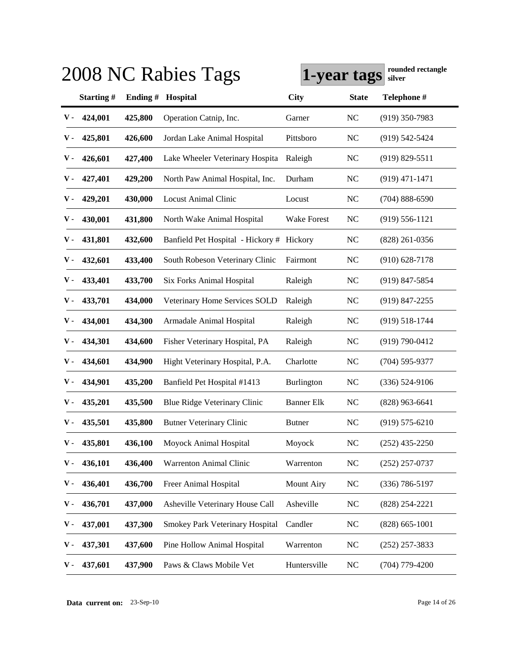|               |           |          | 2008 NC Rabies Tags                       | 1-year tags        |                | rounded rectangle<br>silver |
|---------------|-----------|----------|-------------------------------------------|--------------------|----------------|-----------------------------|
|               | Starting# | Ending # | Hospital                                  | <b>City</b>        | <b>State</b>   | Telephone #                 |
| ${\bf v}$ .   | 424,001   | 425,800  | Operation Catnip, Inc.                    | Garner             | <b>NC</b>      | $(919)$ 350-7983            |
| ν.            | 425,801   | 426,600  | Jordan Lake Animal Hospital               | Pittsboro          | <b>NC</b>      | $(919)$ 542-5424            |
| ν.            | 426,601   | 427,400  | Lake Wheeler Veterinary Hospita           | Raleigh            | <b>NC</b>      | $(919) 829 - 5511$          |
| v -           | 427,401   | 429,200  | North Paw Animal Hospital, Inc.           | Durham             | <b>NC</b>      | $(919)$ 471-1471            |
| v -           | 429,201   | 430,000  | <b>Locust Animal Clinic</b>               | Locust             | <b>NC</b>      | $(704) 888 - 6590$          |
| v -           | 430,001   | 431,800  | North Wake Animal Hospital                | <b>Wake Forest</b> | <b>NC</b>      | $(919) 556 - 1121$          |
| v -           | 431,801   | 432,600  | Banfield Pet Hospital - Hickory # Hickory |                    | <b>NC</b>      | $(828)$ 261-0356            |
| v -           | 432,601   | 433,400  | South Robeson Veterinary Clinic           | Fairmont           | <b>NC</b>      | $(910)$ 628-7178            |
| v -           | 433,401   | 433,700  | <b>Six Forks Animal Hospital</b>          | Raleigh            | <b>NC</b>      | $(919)$ 847-5854            |
| v -           | 433,701   | 434,000  | Veterinary Home Services SOLD             | Raleigh            | <b>NC</b>      | $(919)$ 847-2255            |
| v -           | 434,001   | 434,300  | Armadale Animal Hospital                  | Raleigh            | <b>NC</b>      | $(919) 518 - 1744$          |
| v -           | 434,301   | 434,600  | Fisher Veterinary Hospital, PA            | Raleigh            | <b>NC</b>      | $(919) 790 - 0412$          |
| v -           | 434,601   | 434,900  | Hight Veterinary Hospital, P.A.           | Charlotte          | <b>NC</b>      | $(704)$ 595-9377            |
| v -           | 434,901   | 435,200  | Banfield Pet Hospital #1413               | <b>Burlington</b>  | N <sub>C</sub> | $(336) 524-9106$            |
| v -           | 435,201   | 435,500  | Blue Ridge Veterinary Clinic              | <b>Banner Elk</b>  | <b>NC</b>      | $(828)$ 963-6641            |
| v -           | 435,501   | 435,800  | <b>Butner Veterinary Clinic</b>           | <b>Butner</b>      | N <sub>C</sub> | $(919)$ 575-6210            |
| $\mathbf v$ - | 435,801   | 436,100  | Moyock Animal Hospital                    | Moyock             | <b>NC</b>      | $(252)$ 435-2250            |
| ν.            | 436,101   | 436,400  | Warrenton Animal Clinic                   | Warrenton          | <b>NC</b>      | $(252)$ 257-0737            |
| v -           | 436,401   | 436,700  | Freer Animal Hospital                     | <b>Mount Airy</b>  | <b>NC</b>      | $(336) 786 - 5197$          |
| ν.            | 436,701   | 437,000  | Asheville Veterinary House Call           | Asheville          | <b>NC</b>      | $(828)$ 254-2221            |
| ν.            | 437,001   | 437,300  | Smokey Park Veterinary Hospital           | Candler            | <b>NC</b>      | $(828)$ 665-1001            |
| ν.            | 437,301   | 437,600  | Pine Hollow Animal Hospital               | Warrenton          | <b>NC</b>      | $(252)$ 257-3833            |
| ν.            | 437,601   | 437,900  | Paws & Claws Mobile Vet                   | Huntersville       | <b>NC</b>      | $(704)$ 779-4200            |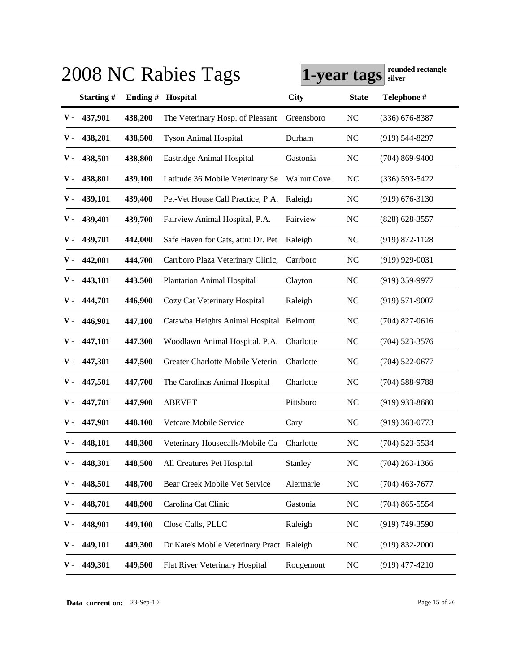|     |           |         | 2008 NC Rabies Tags                       | 1-year tags        |              | rounded rectangle<br>silver |
|-----|-----------|---------|-------------------------------------------|--------------------|--------------|-----------------------------|
|     | Starting# | Ending# | Hospital                                  | <b>City</b>        | <b>State</b> | Telephone #                 |
| v - | 437,901   | 438,200 | The Veterinary Hosp. of Pleasant          | Greensboro         | NC           | $(336)$ 676-8387            |
| ν.  | 438,201   | 438,500 | <b>Tyson Animal Hospital</b>              | Durham             | NC           | $(919)$ 544-8297            |
| ν.  | 438,501   | 438,800 | Eastridge Animal Hospital                 | Gastonia           | NC           | $(704)$ 869-9400            |
| ν.  | 438,801   | 439,100 | Latitude 36 Mobile Veterinary Se          | <b>Walnut Cove</b> | NC           | $(336) 593 - 5422$          |
| v - | 439,101   | 439,400 | Pet-Vet House Call Practice, P.A.         | Raleigh            | NC           | $(919) 676 - 3130$          |
| v - | 439,401   | 439,700 | Fairview Animal Hospital, P.A.            | Fairview           | NC           | $(828)$ 628-3557            |
| ν.  | 439,701   | 442,000 | Safe Haven for Cats, attn: Dr. Pet        | Raleigh            | NC           | $(919) 872 - 1128$          |
| ν.  | 442,001   | 444,700 | Carrboro Plaza Veterinary Clinic,         | Carrboro           | NC           | $(919)$ 929-0031            |
| v - | 443,101   | 443,500 | <b>Plantation Animal Hospital</b>         | Clayton            | NC           | $(919)$ 359-9977            |
| v - | 444,701   | 446,900 | Cozy Cat Veterinary Hospital              | Raleigh            | NC           | $(919) 571-9007$            |
| v - | 446,901   | 447,100 | Catawba Heights Animal Hospital Belmont   |                    | NC           | $(704)$ 827-0616            |
| v - | 447,101   | 447,300 | Woodlawn Animal Hospital, P.A.            | Charlotte          | NC           | $(704)$ 523-3576            |
| v - | 447,301   | 447,500 | Greater Charlotte Mobile Veterin          | Charlotte          | NC           | $(704)$ 522-0677            |
| v - | 447,501   | 447,700 | The Carolinas Animal Hospital             | Charlotte          | NC           | $(704)$ 588-9788            |
| v - | 447,701   | 447,900 | <b>ABEVET</b>                             | Pittsboro          | NC           | $(919)$ 933-8680            |
| v - | 447,901   | 448,100 | Vetcare Mobile Service                    | Cary               | NC           | $(919)$ 363-0773            |
| v - | 448,101   | 448,300 | Veterinary Housecalls/Mobile Ca           | Charlotte          | <b>NC</b>    | $(704)$ 523-5534            |
| ν.  | 448,301   | 448,500 | All Creatures Pet Hospital                | Stanley            | NC           | $(704)$ 263-1366            |
| ν.  | 448,501   | 448,700 | Bear Creek Mobile Vet Service             | Alermarle          | NC           | $(704)$ 463-7677            |
| ν.  | 448,701   | 448,900 | Carolina Cat Clinic                       | Gastonia           | NC           | $(704)$ 865-5554            |
| ν.  | 448,901   | 449,100 | Close Calls, PLLC                         | Raleigh            | NC           | $(919) 749 - 3590$          |
| ν.  | 449,101   | 449,300 | Dr Kate's Mobile Veterinary Pract Raleigh |                    | NC           | $(919) 832 - 2000$          |
| v - | 449,301   | 449,500 | Flat River Veterinary Hospital            | Rougemont          | NC           | $(919)$ 477-4210            |

**Data current on:** 23-Sep-10 Page 15 of 26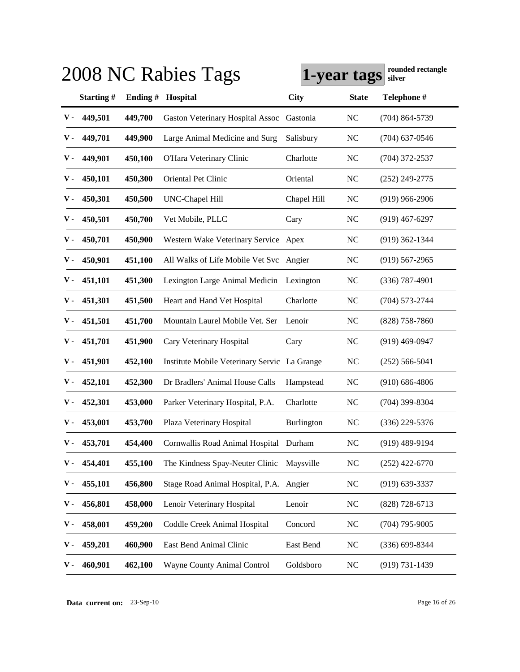|     |           |            | 2008 NC Rabies Tags                          | 1-year tags |                | rounded rectangle<br>silver |
|-----|-----------|------------|----------------------------------------------|-------------|----------------|-----------------------------|
|     | Starting# | Ending $#$ | Hospital                                     | <b>City</b> | <b>State</b>   | Telephone #                 |
| v - | 449,501   | 449,700    | <b>Gaston Veterinary Hospital Assoc</b>      | Gastonia    | NC             | $(704)$ 864-5739            |
| v - | 449,701   | 449,900    | Large Animal Medicine and Surg               | Salisbury   | NC             | $(704)$ 637-0546            |
| ν.  | 449,901   | 450,100    | O'Hara Veterinary Clinic                     | Charlotte   | NC             | $(704)$ 372-2537            |
| ν.  | 450,101   | 450,300    | Oriental Pet Clinic                          | Oriental    | NC             | $(252)$ 249-2775            |
| v - | 450,301   | 450,500    | UNC-Chapel Hill                              | Chapel Hill | NC             | $(919)$ 966-2906            |
| v - | 450,501   | 450,700    | Vet Mobile, PLLC                             | Cary        | NC             | $(919)$ 467-6297            |
| ν.  | 450,701   | 450,900    | Western Wake Veterinary Service Apex         |             | NC             | $(919)$ 362-1344            |
| ν.  | 450,901   | 451,100    | All Walks of Life Mobile Vet Svc             | Angier      | NC             | $(919)$ 567-2965            |
| v - | 451,101   | 451,300    | Lexington Large Animal Medicin               | Lexington   | NC             | $(336)$ 787-4901            |
| v - | 451,301   | 451,500    | Heart and Hand Vet Hospital                  | Charlotte   | NC             | $(704) 573 - 2744$          |
| v - | 451,501   | 451,700    | Mountain Laurel Mobile Vet. Ser              | Lenoir      | NC             | $(828)$ 758-7860            |
| v - | 451,701   | 451,900    | Cary Veterinary Hospital                     | Cary        | NC             | $(919)$ 469-0947            |
| v - | 451,901   | 452,100    | Institute Mobile Veterinary Servic La Grange |             | <b>NC</b>      | $(252) 566 - 5041$          |
| v - | 452,101   | 452,300    | Dr Bradlers' Animal House Calls              | Hampstead   | NC             | $(910) 686 - 4806$          |
| v - | 452,301   | 453,000    | Parker Veterinary Hospital, P.A.             | Charlotte   | NC             | $(704)$ 399-8304            |
| v - | 453,001   | 453,700    | Plaza Veterinary Hospital                    | Burlington  | NC             | $(336)$ 229-5376            |
| v - | 453,701   | 454,400    | Cornwallis Road Animal Hospital Durham       |             | N <sub>C</sub> | $(919)$ 489-9194            |
| ν.  | 454,401   | 455,100    | The Kindness Spay-Neuter Clinic              | Maysville   | $\rm NC$       | $(252)$ 422-6770            |
| ν.  | 455,101   | 456,800    | Stage Road Animal Hospital, P.A. Angier      |             | NC             | $(919) 639 - 3337$          |
| ν.  | 456,801   | 458,000    | Lenoir Veterinary Hospital                   | Lenoir      | NC             | $(828)$ 728-6713            |
| ν.  | 458,001   | 459,200    | Coddle Creek Animal Hospital                 | Concord     | NC             | $(704)$ 795-9005            |
| ν.  | 459,201   | 460,900    | East Bend Animal Clinic                      | East Bend   | <b>NC</b>      | $(336)$ 699-8344            |
| ν.  | 460,901   | 462,100    | Wayne County Animal Control                  | Goldsboro   | NC             | $(919) 731 - 1439$          |

**Data current on:** 23-Sep-10 Page 16 of 26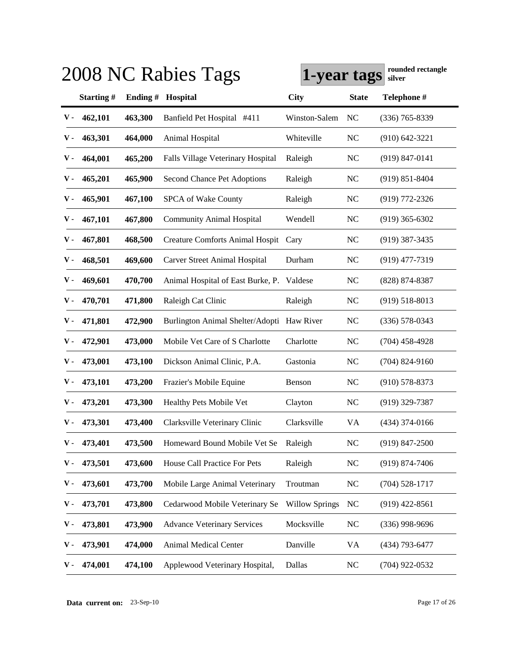|               |           |          | 2008 NC Rabies Tags                        | 1-year tags           |                | rounded rectangle<br>silver |
|---------------|-----------|----------|--------------------------------------------|-----------------------|----------------|-----------------------------|
|               | Starting# | Ending # | Hospital                                   | <b>City</b>           | <b>State</b>   | Telephone #                 |
| ${\bf v}$ .   | 462,101   | 463,300  | Banfield Pet Hospital #411                 | Winston-Salem         | NC             | $(336)$ 765-8339            |
| v -           | 463,301   | 464,000  | Animal Hospital                            | Whiteville            | <b>NC</b>      | $(910) 642 - 3221$          |
| v -           | 464,001   | 465,200  | Falls Village Veterinary Hospital          | Raleigh               | <b>NC</b>      | $(919) 847 - 0141$          |
| v -           | 465,201   | 465,900  | Second Chance Pet Adoptions                | Raleigh               | <b>NC</b>      | $(919) 851 - 8404$          |
| v -           | 465,901   | 467,100  | SPCA of Wake County                        | Raleigh               | <b>NC</b>      | $(919)$ 772-2326            |
| v -           | 467,101   | 467,800  | <b>Community Animal Hospital</b>           | Wendell               | <b>NC</b>      | $(919)$ 365-6302            |
| v -           | 467,801   | 468,500  | Creature Comforts Animal Hospit Cary       |                       | <b>NC</b>      | $(919)$ 387-3435            |
| v -           | 468,501   | 469,600  | Carver Street Animal Hospital              | Durham                | <b>NC</b>      | $(919)$ 477-7319            |
| v -           | 469,601   | 470,700  | Animal Hospital of East Burke, P. Valdese  |                       | <b>NC</b>      | $(828)$ 874-8387            |
| v -           | 470,701   | 471,800  | Raleigh Cat Clinic                         | Raleigh               | <b>NC</b>      | $(919)$ 518-8013            |
| v -           | 471,801   | 472,900  | Burlington Animal Shelter/Adopti Haw River |                       | <b>NC</b>      | $(336)$ 578-0343            |
| v -           | 472,901   | 473,000  | Mobile Vet Care of S Charlotte             | Charlotte             | <b>NC</b>      | $(704)$ 458-4928            |
| v -           | 473,001   | 473,100  | Dickson Animal Clinic, P.A.                | Gastonia              | <b>NC</b>      | $(704)$ 824-9160            |
| v -           | 473,101   | 473,200  | Frazier's Mobile Equine                    | Benson                | <b>NC</b>      | $(910)$ 578-8373            |
| v -           | 473,201   | 473,300  | Healthy Pets Mobile Vet                    | Clayton               | <b>NC</b>      | $(919)$ 329-7387            |
| v -           | 473,301   | 473,400  | Clarksville Veterinary Clinic              | Clarksville           | VA             | $(434)$ 374-0166            |
| $\mathbf V$ - | 473,401   | 473,500  | Homeward Bound Mobile Vet Se               | Raleigh               | <b>NC</b>      | $(919)$ 847-2500            |
| ν.            | 473,501   | 473,600  | House Call Practice For Pets               | Raleigh               | <b>NC</b>      | $(919) 874 - 7406$          |
| ν.            | 473,601   | 473,700  | Mobile Large Animal Veterinary             | Troutman              | <b>NC</b>      | $(704)$ 528-1717            |
| ν.            | 473,701   | 473,800  | Cedarwood Mobile Veterinary Se             | <b>Willow Springs</b> | <b>NC</b>      | $(919)$ 422-8561            |
| ν.            | 473,801   | 473,900  | <b>Advance Veterinary Services</b>         | Mocksville            | <b>NC</b>      | $(336)$ 998-9696            |
| ν.            | 473,901   | 474,000  | Animal Medical Center                      | Danville              | <b>VA</b>      | $(434)$ 793-6477            |
| ν.            | 474,001   | 474,100  | Applewood Veterinary Hospital,             | Dallas                | N <sub>C</sub> | $(704)$ 922-0532            |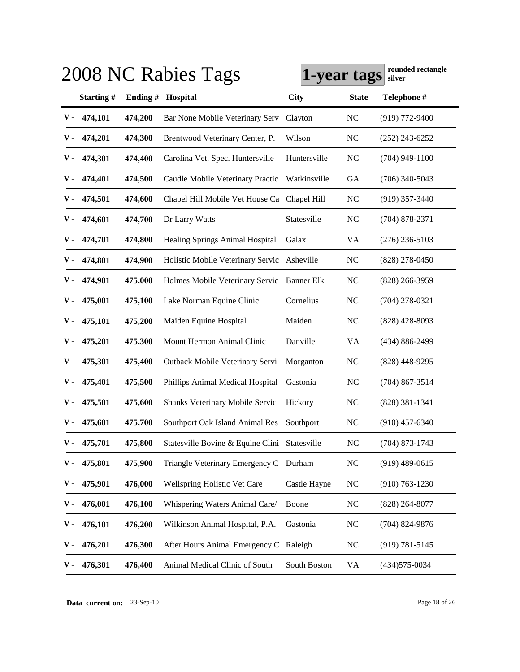|               |           |          | 2008 NC Rabies Tags                           | 1-year tags       |                | rounded rectangle<br>silver |
|---------------|-----------|----------|-----------------------------------------------|-------------------|----------------|-----------------------------|
|               | Starting# | Ending # | Hospital                                      | <b>City</b>       | <b>State</b>   | Telephone #                 |
| ${\bf v}$ -   | 474,101   | 474,200  | Bar None Mobile Veterinary Serv               | Clayton           | <b>NC</b>      | $(919)$ 772-9400            |
| v -           | 474,201   | 474,300  | Brentwood Veterinary Center, P.               | Wilson            | N <sub>C</sub> | $(252)$ 243-6252            |
| ν.            | 474,301   | 474,400  | Carolina Vet. Spec. Huntersville              | Huntersville      | <b>NC</b>      | $(704)$ 949-1100            |
| v -           | 474,401   | 474,500  | Caudle Mobile Veterinary Practic              | Watkinsville      | GA             | $(706)$ 340-5043            |
| v -           | 474,501   | 474,600  | Chapel Hill Mobile Vet House Ca               | Chapel Hill       | <b>NC</b>      | $(919)$ 357-3440            |
| v -           | 474,601   | 474,700  | Dr Larry Watts                                | Statesville       | <b>NC</b>      | $(704)$ 878-2371            |
| v -           | 474,701   | 474,800  | <b>Healing Springs Animal Hospital</b>        | Galax             | <b>VA</b>      | $(276)$ 236-5103            |
| v -           | 474,801   | 474,900  | Holistic Mobile Veterinary Servic Asheville   |                   | <b>NC</b>      | $(828)$ 278-0450            |
| v -           | 474,901   | 475,000  | Holmes Mobile Veterinary Servic               | <b>Banner Elk</b> | <b>NC</b>      | $(828)$ 266-3959            |
| v -           | 475,001   | 475,100  | Lake Norman Equine Clinic                     | Cornelius         | <b>NC</b>      | $(704)$ 278-0321            |
| v -           | 475,101   | 475,200  | Maiden Equine Hospital                        | Maiden            | <b>NC</b>      | $(828)$ 428-8093            |
| v -           | 475,201   | 475,300  | Mount Hermon Animal Clinic                    | Danville          | VA             | (434) 886-2499              |
| v -           | 475,301   | 475,400  | Outback Mobile Veterinary Servi               | Morganton         | <b>NC</b>      | $(828)$ 448-9295            |
| v -           | 475,401   | 475,500  | Phillips Animal Medical Hospital              | Gastonia          | <b>NC</b>      | $(704)$ 867-3514            |
| v -           | 475,501   | 475,600  | <b>Shanks Veterinary Mobile Servic</b>        | Hickory           | <b>NC</b>      | $(828)$ 381-1341            |
| v -           | 475,601   | 475,700  | Southport Oak Island Animal Res               | Southport         | <b>NC</b>      | $(910)$ 457-6340            |
| $\mathbf V$ - | 475,701   | 475,800  | Statesville Bovine & Equine Clini Statesville |                   | <b>NC</b>      | (704) 873-1743              |
| ν.            | 475,801   | 475,900  | Triangle Veterinary Emergency C Durham        |                   | <b>NC</b>      | $(919)$ 489-0615            |
| ν.            | 475,901   | 476,000  | Wellspring Holistic Vet Care                  | Castle Hayne      | <b>NC</b>      | $(910) 763 - 1230$          |
| ν.            | 476,001   | 476,100  | Whispering Waters Animal Care/                | Boone             | <b>NC</b>      | $(828)$ 264-8077            |
| ν.            | 476,101   | 476,200  | Wilkinson Animal Hospital, P.A.               | Gastonia          | N <sub>C</sub> | $(704)$ 824-9876            |
|               | 476,201   | 476,300  | After Hours Animal Emergency C Raleigh        |                   | <b>NC</b>      | $(919) 781 - 5145$          |
| ν.            | 476,301   | 476,400  | Animal Medical Clinic of South                | South Boston      | VA             | $(434)575 - 0034$           |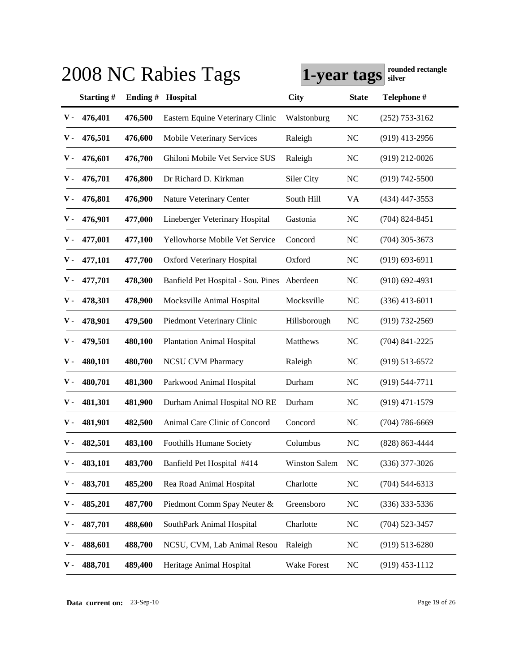|     |           |         | 2008 NC Rabies Tags                | 1-year tags          |                | rounded rectangle<br>silver |
|-----|-----------|---------|------------------------------------|----------------------|----------------|-----------------------------|
|     | Starting# | Ending# | Hospital                           | <b>City</b>          | <b>State</b>   | Telephone #                 |
| v - | 476,401   | 476,500 | Eastern Equine Veterinary Clinic   | Walstonburg          | NC             | $(252)$ 753-3162            |
| v - | 476,501   | 476,600 | <b>Mobile Veterinary Services</b>  | Raleigh              | NC             | $(919)$ 413-2956            |
| ν.  | 476,601   | 476,700 | Ghiloni Mobile Vet Service SUS     | Raleigh              | NC             | $(919)$ 212-0026            |
| v - | 476,701   | 476,800 | Dr Richard D. Kirkman              | Siler City           | NC             | $(919) 742 - 5500$          |
| v - | 476,801   | 476,900 | Nature Veterinary Center           | South Hill           | VA             | $(434)$ 447-3553            |
| v - | 476,901   | 477,000 | Lineberger Veterinary Hospital     | Gastonia             | NC             | $(704)$ 824-8451            |
| v - | 477,001   | 477,100 | Yellowhorse Mobile Vet Service     | Concord              | NC             | $(704)$ 305-3673            |
| v - | 477,101   | 477,700 | <b>Oxford Veterinary Hospital</b>  | Oxford               | NC             | $(919) 693 - 6911$          |
| v - | 477,701   | 478,300 | Banfield Pet Hospital - Sou. Pines | Aberdeen             | NC             | $(910)$ 692-4931            |
| v - | 478,301   | 478,900 | Mocksville Animal Hospital         | Mocksville           | <b>NC</b>      | $(336)$ 413-6011            |
| v - | 478,901   | 479,500 | Piedmont Veterinary Clinic         | Hillsborough         | <b>NC</b>      | $(919) 732 - 2569$          |
| v - | 479,501   | 480,100 | <b>Plantation Animal Hospital</b>  | Matthews             | NC             | $(704)$ 841-2225            |
| v - | 480,101   | 480,700 | <b>NCSU CVM Pharmacy</b>           | Raleigh              | NC             | $(919)$ 513-6572            |
| v - | 480,701   | 481,300 | Parkwood Animal Hospital           | Durham               | NC             | $(919) 544 - 7711$          |
| v - | 481,301   | 481,900 | Durham Animal Hospital NORE        | Durham               | NC             | $(919)$ 471-1579            |
| v - | 481,901   | 482,500 | Animal Care Clinic of Concord      | Concord              | NC             | $(704) 786 - 6669$          |
| v - | 482,501   | 483,100 | Foothills Humane Society           | Columbus             | N <sub>C</sub> | (828) 863-4444              |
| ν.  | 483,101   | 483,700 | Banfield Pet Hospital #414         | <b>Winston Salem</b> | <b>NC</b>      | $(336)$ 377-3026            |
| ν.  | 483,701   | 485,200 | Rea Road Animal Hospital           | Charlotte            | NC             | $(704) 544 - 6313$          |
| ν.  | 485,201   | 487,700 | Piedmont Comm Spay Neuter &        | Greensboro           | NC             | $(336)$ 333-5336            |
| ν.  | 487,701   | 488,600 | SouthPark Animal Hospital          | Charlotte            | NC             | $(704)$ 523-3457            |
| ν.  | 488,601   | 488,700 | NCSU, CVM, Lab Animal Resou        | Raleigh              | NC             | $(919)$ 513-6280            |
| ν.  | 488,701   | 489,400 | Heritage Animal Hospital           | <b>Wake Forest</b>   | NC             | $(919)$ 453-1112            |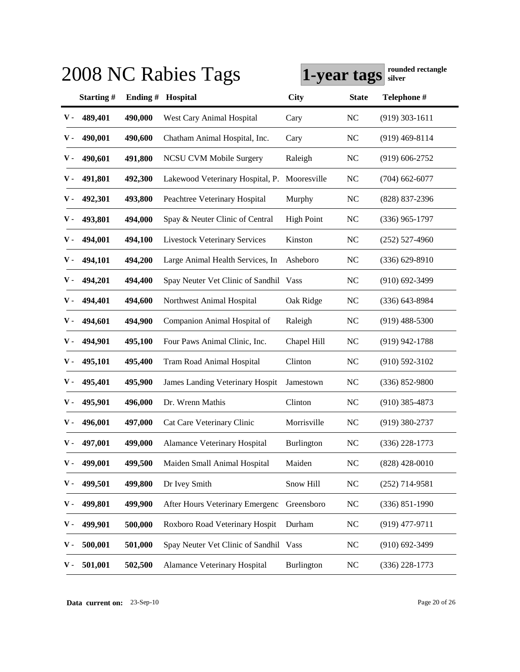|             |           |          | 2008 NC Rabies Tags                    | 1-year tags       |                | rounded rectangle<br>silver |
|-------------|-----------|----------|----------------------------------------|-------------------|----------------|-----------------------------|
|             | Starting# | Ending # | Hospital                               | <b>City</b>       | <b>State</b>   | Telephone #                 |
| ${\bf v}$ . | 489,401   | 490,000  | West Cary Animal Hospital              | Cary              | <b>NC</b>      | $(919)$ 303-1611            |
| v -         | 490,001   | 490,600  | Chatham Animal Hospital, Inc.          | Cary              | <b>NC</b>      | $(919)$ 469-8114            |
| v -         | 490,601   | 491,800  | <b>NCSU CVM Mobile Surgery</b>         | Raleigh           | <b>NC</b>      | $(919)$ 606-2752            |
| v -         | 491,801   | 492,300  | Lakewood Veterinary Hospital, P.       | Mooresville       | <b>NC</b>      | $(704)$ 662-6077            |
| v -         | 492,301   | 493,800  | Peachtree Veterinary Hospital          | Murphy            | <b>NC</b>      | (828) 837-2396              |
| v -         | 493,801   | 494,000  | Spay & Neuter Clinic of Central        | <b>High Point</b> | <b>NC</b>      | $(336)$ 965-1797            |
| v -         | 494,001   | 494,100  | <b>Livestock Veterinary Services</b>   | Kinston           | <b>NC</b>      | $(252)$ 527-4960            |
| v -         | 494,101   | 494,200  | Large Animal Health Services, In       | Asheboro          | <b>NC</b>      | $(336) 629 - 8910$          |
| v -         | 494,201   | 494,400  | Spay Neuter Vet Clinic of Sandhil Vass |                   | <b>NC</b>      | $(910)$ 692-3499            |
| v -         | 494,401   | 494,600  | Northwest Animal Hospital              | Oak Ridge         | <b>NC</b>      | $(336)$ 643-8984            |
| v -         | 494,601   | 494,900  | Companion Animal Hospital of           | Raleigh           | <b>NC</b>      | $(919)$ 488-5300            |
| v -         | 494,901   | 495,100  | Four Paws Animal Clinic, Inc.          | Chapel Hill       | <b>NC</b>      | $(919)$ 942-1788            |
| v -         | 495,101   | 495,400  | Tram Road Animal Hospital              | Clinton           | <b>NC</b>      | $(910) 592 - 3102$          |
| v -         | 495,401   | 495,900  | James Landing Veterinary Hospit        | Jamestown         | <b>NC</b>      | $(336) 852 - 9800$          |
| v -         | 495,901   | 496,000  | Dr. Wrenn Mathis                       | Clinton           | <b>NC</b>      | $(910)$ 385-4873            |
| v -         | 496,001   | 497,000  | Cat Care Veterinary Clinic             | Morrisville       | N <sub>C</sub> | $(919)$ 380-2737            |
| ${\bf v}$ - | 497,001   | 499,000  | Alamance Veterinary Hospital           | Burlington        | <b>NC</b>      | $(336)$ 228-1773            |
| ν.          | 499,001   | 499,500  | Maiden Small Animal Hospital           | Maiden            | <b>NC</b>      | $(828)$ 428-0010            |
| ν.          | 499,501   | 499,800  | Dr Ivey Smith                          | Snow Hill         | <b>NC</b>      | $(252)$ 714-9581            |
| ν.          | 499,801   | 499,900  | After Hours Veterinary Emergenc        | Greensboro        | <b>NC</b>      | $(336) 851 - 1990$          |
| ν.          | 499,901   | 500,000  | Roxboro Road Veterinary Hospit         | Durham            | N <sub>C</sub> | $(919)$ 477-9711            |
| ν.          | 500,001   | 501,000  | Spay Neuter Vet Clinic of Sandhil Vass |                   | <b>NC</b>      | $(910)$ 692-3499            |
| ν.          | 501,001   | 502,500  | Alamance Veterinary Hospital           | Burlington        | <b>NC</b>      | $(336)$ 228-1773            |

**Data current on:** 23-Sep-10 Page 20 of 26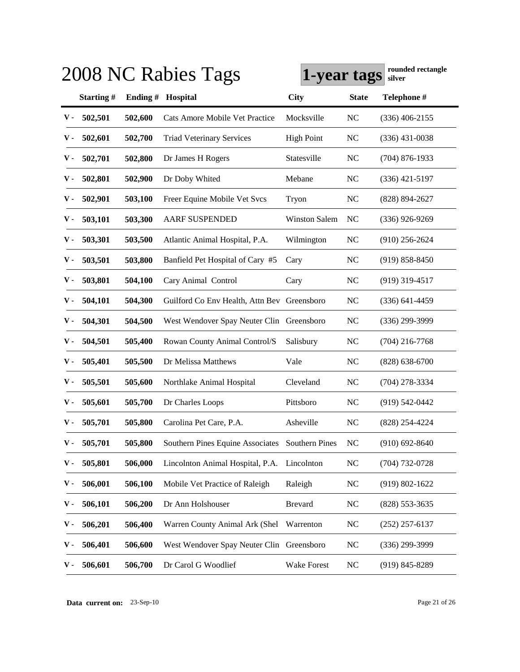|               |           |          | 2008 NC Rabies Tags                             | 1-year tags          |                | rounded rectangle<br>silver |
|---------------|-----------|----------|-------------------------------------------------|----------------------|----------------|-----------------------------|
|               | Starting# | Ending # | Hospital                                        | <b>City</b>          | <b>State</b>   | Telephone #                 |
| v -           | 502,501   | 502,600  | Cats Amore Mobile Vet Practice                  | Mocksville           | <b>NC</b>      | $(336)$ 406-2155            |
| v -           | 502,601   | 502,700  | <b>Triad Veterinary Services</b>                | <b>High Point</b>    | <b>NC</b>      | $(336)$ 431-0038            |
| v -           | 502,701   | 502,800  | Dr James H Rogers                               | Statesville          | <b>NC</b>      | $(704)$ 876-1933            |
| v -           | 502,801   | 502,900  | Dr Doby Whited                                  | Mebane               | <b>NC</b>      | $(336)$ 421-5197            |
| v -           | 502,901   | 503,100  | Freer Equine Mobile Vet Svcs                    | Tryon                | <b>NC</b>      | $(828) 894 - 2627$          |
| v -           | 503,101   | 503,300  | <b>AARF SUSPENDED</b>                           | <b>Winston Salem</b> | N <sub>C</sub> | $(336)$ 926-9269            |
| v -           | 503,301   | 503,500  | Atlantic Animal Hospital, P.A.                  | Wilmington           | <b>NC</b>      | $(910)$ 256-2624            |
| v -           | 503,501   | 503,800  | Banfield Pet Hospital of Cary #5                | Cary                 | <b>NC</b>      | $(919) 858 - 8450$          |
| v -           | 503,801   | 504,100  | Cary Animal Control                             | Cary                 | <b>NC</b>      | $(919)$ 319-4517            |
| v -           | 504,101   | 504,300  | Guilford Co Env Health, Attn Bev Greensboro     |                      | <b>NC</b>      | $(336)$ 641-4459            |
| v -           | 504,301   | 504,500  | West Wendover Spay Neuter Clin Greensboro       |                      | <b>NC</b>      | $(336)$ 299-3999            |
| v -           | 504,501   | 505,400  | Rowan County Animal Control/S                   | Salisbury            | <b>NC</b>      | $(704)$ 216-7768            |
| v -           | 505,401   | 505,500  | Dr Melissa Matthews                             | Vale                 | <b>NC</b>      | $(828) 638 - 6700$          |
| v -           | 505,501   | 505,600  | Northlake Animal Hospital                       | Cleveland            | <b>NC</b>      | $(704)$ 278-3334            |
| v -           | 505,601   | 505,700  | Dr Charles Loops                                | Pittsboro            | <b>NC</b>      | $(919) 542 - 0442$          |
| v -           | 505,701   | 505,800  | Carolina Pet Care, P.A.                         | Asheville            | N <sub>C</sub> | (828) 254-4224              |
| $\mathbf V$ - | 505,701   | 505,800  | Southern Pines Equine Associates Southern Pines |                      | <b>NC</b>      | $(910) 692 - 8640$          |
| ν.            | 505,801   | 506,000  | Lincolnton Animal Hospital, P.A.                | Lincolnton           | NC             | $(704) 732 - 0728$          |
| ν.            | 506,001   | 506,100  | Mobile Vet Practice of Raleigh                  | Raleigh              | <b>NC</b>      | $(919) 802 - 1622$          |
| ν.            | 506,101   | 506,200  | Dr Ann Holshouser                               | <b>Brevard</b>       | <b>NC</b>      | $(828)$ 553-3635            |
| ν.            | 506,201   | 506,400  | Warren County Animal Ark (Shel                  | Warrenton            | <b>NC</b>      | $(252)$ 257-6137            |
| ν.            | 506,401   | 506,600  | West Wendover Spay Neuter Clin Greensboro       |                      | <b>NC</b>      | $(336)$ 299-3999            |
| ν.            | 506,601   | 506,700  | Dr Carol G Woodlief                             | Wake Forest          | $\rm NC$       | $(919) 845 - 8289$          |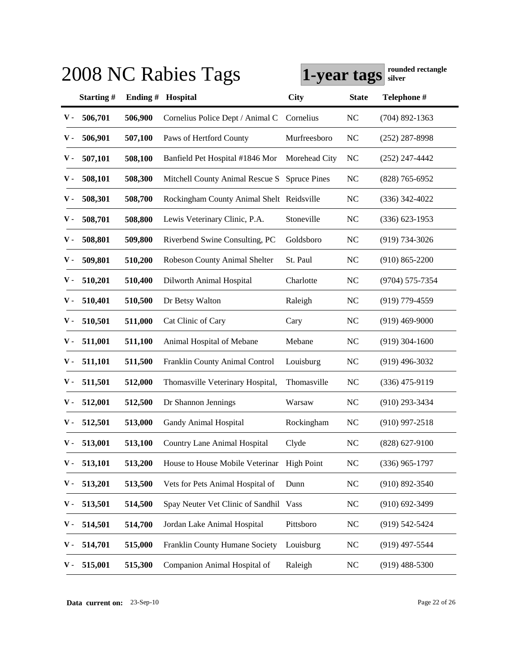|               |           |         | 2008 NC Rabies Tags                       | 1-year tags         |              | rounded rectangle<br>silver |
|---------------|-----------|---------|-------------------------------------------|---------------------|--------------|-----------------------------|
|               | Starting# | Ending# | Hospital                                  | <b>City</b>         | <b>State</b> | Telephone #                 |
| ${\bf v}$ .   | 506,701   | 506,900 | Cornelius Police Dept / Animal C          | Cornelius           | <b>NC</b>    | $(704)$ 892-1363            |
| v -           | 506,901   | 507,100 | Paws of Hertford County                   | Murfreesboro        | <b>NC</b>    | $(252)$ 287-8998            |
| v -           | 507,101   | 508,100 | Banfield Pet Hospital #1846 Mor           | Morehead City       | <b>NC</b>    | $(252)$ 247-4442            |
| v -           | 508,101   | 508,300 | Mitchell County Animal Rescue S           | <b>Spruce Pines</b> | <b>NC</b>    | $(828)$ 765-6952            |
| v -           | 508,301   | 508,700 | Rockingham County Animal Shelt Reidsville |                     | <b>NC</b>    | $(336)$ 342-4022            |
| v -           | 508,701   | 508,800 | Lewis Veterinary Clinic, P.A.             | Stoneville          | <b>NC</b>    | $(336)$ 623-1953            |
| v -           | 508,801   | 509,800 | Riverbend Swine Consulting, PC            | Goldsboro           | <b>NC</b>    | $(919) 734 - 3026$          |
| v -           | 509,801   | 510,200 | Robeson County Animal Shelter             | St. Paul            | <b>NC</b>    | $(910) 865 - 2200$          |
| v -           | 510,201   | 510,400 | Dilworth Animal Hospital                  | Charlotte           | <b>NC</b>    | $(9704) 575 - 7354$         |
| v -           | 510,401   | 510,500 | Dr Betsy Walton                           | Raleigh             | <b>NC</b>    | $(919)$ 779-4559            |
| v -           | 510,501   | 511,000 | Cat Clinic of Cary                        | Cary                | <b>NC</b>    | $(919)$ 469-9000            |
| v -           | 511,001   | 511,100 | Animal Hospital of Mebane                 | Mebane              | <b>NC</b>    | $(919)$ 304-1600            |
| v -           | 511,101   | 511,500 | Franklin County Animal Control            | Louisburg           | <b>NC</b>    | $(919)$ 496-3032            |
| v -           | 511,501   | 512,000 | Thomasville Veterinary Hospital,          | Thomasville         | <b>NC</b>    | $(336)$ 475-9119            |
| v -           | 512,001   | 512,500 | Dr Shannon Jennings                       | Warsaw              | <b>NC</b>    | $(910)$ 293-3434            |
| v -           | 512,501   | 513,000 | Gandy Animal Hospital                     | Rockingham          | <b>NC</b>    | $(910)$ 997-2518            |
| $\mathbf V$ - | 513,001   | 513,100 | Country Lane Animal Hospital              | Clyde               | <b>NC</b>    | $(828)$ 627-9100            |
| ν.            | 513,101   | 513,200 | House to House Mobile Veterinar           | <b>High Point</b>   | <b>NC</b>    | $(336)$ 965-1797            |
| ν.            | 513,201   | 513,500 | Vets for Pets Animal Hospital of          | Dunn                | <b>NC</b>    | $(910) 892 - 3540$          |
| ν.            | 513,501   | 514,500 | Spay Neuter Vet Clinic of Sandhil Vass    |                     | <b>NC</b>    | $(910)$ 692-3499            |
| ν.            | 514,501   | 514,700 | Jordan Lake Animal Hospital               | Pittsboro           | <b>NC</b>    | $(919)$ 542-5424            |
| ν.            | 514,701   | 515,000 | Franklin County Humane Society            | Louisburg           | <b>NC</b>    | $(919)$ 497-5544            |
| ν.            | 515,001   | 515,300 | Companion Animal Hospital of              | Raleigh             | <b>NC</b>    | $(919)$ 488-5300            |

**Data current on:** 23-Sep-10 Page 22 of 26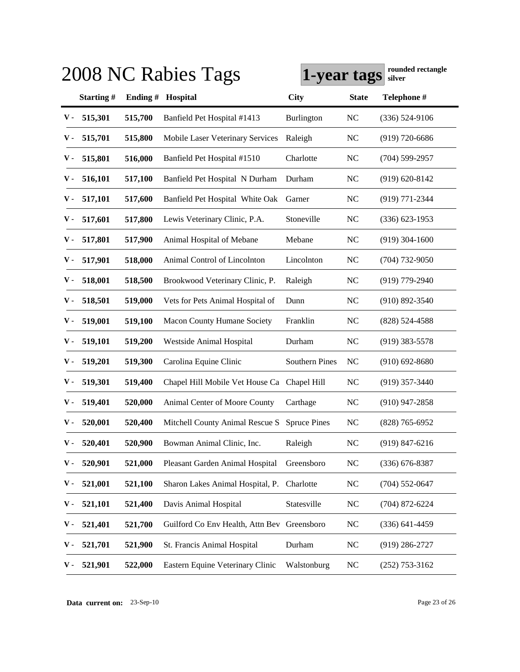|               |           |          | 2008 NC Rabies Tags                          | 1-year tags           |                | rounded rectangle<br>silver |
|---------------|-----------|----------|----------------------------------------------|-----------------------|----------------|-----------------------------|
|               | Starting# | Ending # | Hospital                                     | <b>City</b>           | <b>State</b>   | Telephone #                 |
| $\mathbf v$ - | 515,301   | 515,700  | Banfield Pet Hospital #1413                  | Burlington            | <b>NC</b>      | $(336) 524-9106$            |
| v -           | 515,701   | 515,800  | Mobile Laser Veterinary Services             | Raleigh               | <b>NC</b>      | $(919)$ 720-6686            |
| v -           | 515,801   | 516,000  | Banfield Pet Hospital #1510                  | Charlotte             | <b>NC</b>      | $(704)$ 599-2957            |
| v -           | 516,101   | 517,100  | Banfield Pet Hospital N Durham               | Durham                | <b>NC</b>      | $(919) 620 - 8142$          |
| v -           | 517,101   | 517,600  | Banfield Pet Hospital White Oak              | Garner                | <b>NC</b>      | $(919)$ 771-2344            |
| v -           | 517,601   | 517,800  | Lewis Veterinary Clinic, P.A.                | Stoneville            | <b>NC</b>      | $(336)$ 623-1953            |
| v -           | 517,801   | 517,900  | Animal Hospital of Mebane                    | Mebane                | <b>NC</b>      | $(919)$ 304-1600            |
| v -           | 517,901   | 518,000  | Animal Control of Lincolnton                 | Lincolnton            | <b>NC</b>      | $(704)$ 732-9050            |
| v -           | 518,001   | 518,500  | Brookwood Veterinary Clinic, P.              | Raleigh               | N <sub>C</sub> | $(919)$ 779-2940            |
| ν.            | 518,501   | 519,000  | Vets for Pets Animal Hospital of             | Dunn                  | N <sub>C</sub> | $(910) 892 - 3540$          |
| ν.            | 519,001   | 519,100  | <b>Macon County Humane Society</b>           | Franklin              | <b>NC</b>      | $(828)$ 524-4588            |
| ν.            | 519,101   | 519,200  | Westside Animal Hospital                     | Durham                | <b>NC</b>      | $(919)$ 383-5578            |
| ν.            | 519,201   | 519,300  | Carolina Equine Clinic                       | <b>Southern Pines</b> | <b>NC</b>      | $(910)$ 692-8680            |
| v -           | 519,301   | 519,400  | Chapel Hill Mobile Vet House Ca              | Chapel Hill           | <b>NC</b>      | $(919)$ 357-3440            |
| v -           | 519,401   | 520,000  | Animal Center of Moore County                | Carthage              | <b>NC</b>      | $(910)$ 947-2858            |
| v -           | 520,001   | 520,400  | Mitchell County Animal Rescue S Spruce Pines |                       | N <sub>C</sub> | $(828)$ 765-6952            |
| $\mathbf V$ - | 520,401   | 520,900  | Bowman Animal Clinic, Inc.                   | Raleigh               | <b>NC</b>      | $(919)$ 847-6216            |
| ν.            | 520,901   | 521,000  | Pleasant Garden Animal Hospital              | Greensboro            | <b>NC</b>      | $(336)$ 676-8387            |
| ν.            | 521,001   | 521,100  | Sharon Lakes Animal Hospital, P. Charlotte   |                       | <b>NC</b>      | $(704) 552 - 0647$          |
| ν.            | 521,101   | 521,400  | Davis Animal Hospital                        | Statesville           | <b>NC</b>      | $(704)$ 872-6224            |
| ν.            | 521,401   | 521,700  | Guilford Co Env Health, Attn Bev Greensboro  |                       | <b>NC</b>      | $(336) 641 - 4459$          |
| ν.            | 521,701   | 521,900  | St. Francis Animal Hospital                  | Durham                | NC             | $(919)$ 286-2727            |
| ν.            | 521,901   | 522,000  | Eastern Equine Veterinary Clinic             | Walstonburg           | <b>NC</b>      | $(252)$ 753-3162            |

**Data current on:** 23-Sep-10 Page 23 of 26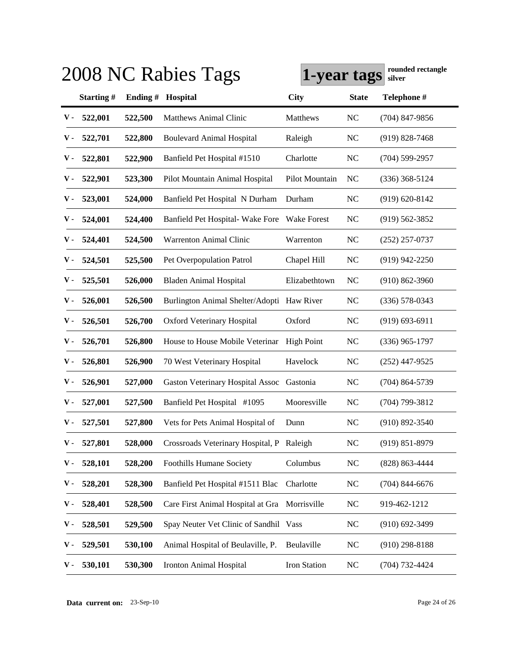|                |           |          | 2008 NC Rabies Tags                           | 1-year tags       |                | rounded rectangle<br>silver |
|----------------|-----------|----------|-----------------------------------------------|-------------------|----------------|-----------------------------|
|                | Starting# | Ending # | Hospital                                      | <b>City</b>       | <b>State</b>   | Telephone #                 |
| v -            | 522,001   | 522,500  | <b>Matthews Animal Clinic</b>                 | Matthews          | <b>NC</b>      | $(704)$ 847-9856            |
| v -            | 522,701   | 522,800  | <b>Boulevard Animal Hospital</b>              | Raleigh           | <b>NC</b>      | $(919)$ 828-7468            |
| v -            | 522,801   | 522,900  | Banfield Pet Hospital #1510                   | Charlotte         | <b>NC</b>      | $(704)$ 599-2957            |
| v -            | 522,901   | 523,300  | Pilot Mountain Animal Hospital                | Pilot Mountain    | N <sub>C</sub> | $(336)$ 368-5124            |
| v -            | 523,001   | 524,000  | Banfield Pet Hospital N Durham                | Durham            | <b>NC</b>      | $(919) 620 - 8142$          |
| v -            | 524,001   | 524,400  | Banfield Pet Hospital- Wake Fore              | Wake Forest       | <b>NC</b>      | $(919)$ 562-3852            |
| v -            | 524,401   | 524,500  | <b>Warrenton Animal Clinic</b>                | Warrenton         | <b>NC</b>      | $(252)$ 257-0737            |
| v -            | 524,501   | 525,500  | Pet Overpopulation Patrol                     | Chapel Hill       | <b>NC</b>      | $(919)$ 942-2250            |
| v -            | 525,501   | 526,000  | <b>Bladen Animal Hospital</b>                 | Elizabethtown     | N <sub>C</sub> | $(910)$ 862-3960            |
| v -            | 526,001   | 526,500  | Burlington Animal Shelter/Adopti Haw River    |                   | <b>NC</b>      | $(336)$ 578-0343            |
| v -            | 526,501   | 526,700  | <b>Oxford Veterinary Hospital</b>             | Oxford            | N <sub>C</sub> | $(919) 693 - 6911$          |
| v -            | 526,701   | 526,800  | House to House Mobile Veterinar               | <b>High Point</b> | <b>NC</b>      | $(336)$ 965-1797            |
| v -            | 526,801   | 526,900  | 70 West Veterinary Hospital                   | Havelock          | <b>NC</b>      | $(252)$ 447-9525            |
| v -            | 526,901   | 527,000  | <b>Gaston Veterinary Hospital Assoc</b>       | Gastonia          | <b>NC</b>      | $(704)$ 864-5739            |
| v -            | 527,001   | 527,500  | Banfield Pet Hospital #1095                   | Mooresville       | <b>NC</b>      | $(704)$ 799-3812            |
| v -            | 527,501   | 527,800  | Vets for Pets Animal Hospital of              | Dunn              | NC             | $(910) 892 - 3540$          |
| $\mathbf{v}$ - | 527,801   | 528,000  | Crossroads Veterinary Hospital, P Raleigh     |                   | <b>NC</b>      | $(919) 851 - 8979$          |
| ν.             | 528,101   | 528,200  | <b>Foothills Humane Society</b>               | Columbus          | <b>NC</b>      | $(828)$ 863-4444            |
| ν.             | 528,201   | 528,300  | Banfield Pet Hospital #1511 Blac              | Charlotte         | <b>NC</b>      | $(704)$ 844-6676            |
| ν.             | 528,401   | 528,500  | Care First Animal Hospital at Gra Morrisville |                   | <b>NC</b>      | 919-462-1212                |
| ν.             | 528,501   | 529,500  | Spay Neuter Vet Clinic of Sandhil Vass        |                   | <b>NC</b>      | $(910)$ 692-3499            |
| ν.             | 529,501   | 530,100  | Animal Hospital of Beulaville, P.             | Beulaville        | <b>NC</b>      | $(910)$ 298-8188            |
| ν.             | 530,101   | 530,300  | Ironton Animal Hospital                       | Iron Station      | <b>NC</b>      | (704) 732-4424              |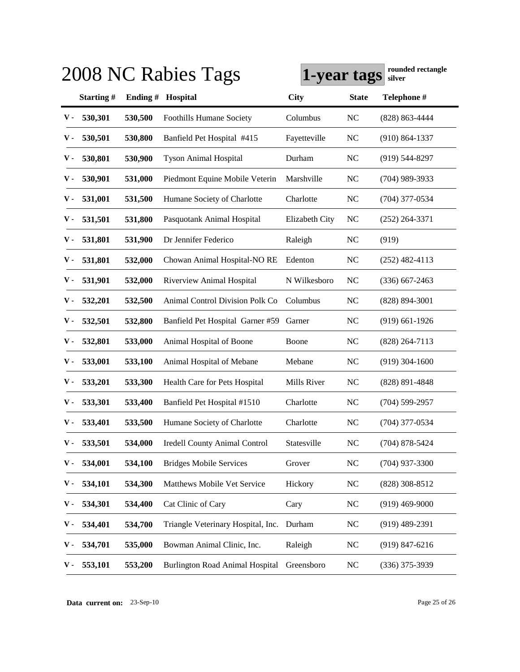|               |           |            | 2008 NC Rabies Tags                    | 1-year tags    |                | rounded rectangle<br>silver |
|---------------|-----------|------------|----------------------------------------|----------------|----------------|-----------------------------|
|               | Starting# | Ending $#$ | <b>Hospital</b>                        | <b>City</b>    | <b>State</b>   | Telephone #                 |
| v -           | 530,301   | 530,500    | <b>Foothills Humane Society</b>        | Columbus       | <b>NC</b>      | $(828) 863 - 4444$          |
| ν.            | 530,501   | 530,800    | Banfield Pet Hospital #415             | Fayetteville   | NC             | $(910) 864 - 1337$          |
| ν.            | 530,801   | 530,900    | <b>Tyson Animal Hospital</b>           | Durham         | NC             | $(919)$ 544-8297            |
| ν.            | 530,901   | 531,000    | Piedmont Equine Mobile Veterin         | Marshville     | NC             | $(704)$ 989-3933            |
| ν.            | 531,001   | 531,500    | Humane Society of Charlotte            | Charlotte      | NC             | $(704)$ 377-0534            |
| ν.            | 531,501   | 531,800    | Pasquotank Animal Hospital             | Elizabeth City | NC             | $(252)$ 264-3371            |
| v -           | 531,801   | 531,900    | Dr Jennifer Federico                   | Raleigh        | NC             | (919)                       |
| ν.            | 531,801   | 532,000    | Chowan Animal Hospital-NO RE           | Edenton        | NC             | $(252)$ 482-4113            |
| v -           | 531,901   | 532,000    | Riverview Animal Hospital              | N Wilkesboro   | NC             | $(336)$ 667-2463            |
| v -           | 532,201   | 532,500    | <b>Animal Control Division Polk Co</b> | Columbus       | NC             | $(828) 894 - 3001$          |
| v -           | 532,501   | 532,800    | Banfield Pet Hospital Garner #59       | Garner         | NC             | $(919)$ 661-1926            |
| v -           | 532,801   | 533,000    | Animal Hospital of Boone               | Boone          | NC             | $(828)$ 264-7113            |
| v -           | 533,001   | 533,100    | Animal Hospital of Mebane              | Mebane         | NC             | $(919)$ 304-1600            |
| v -           | 533,201   | 533,300    | Health Care for Pets Hospital          | Mills River    | <b>NC</b>      | $(828) 891 - 4848$          |
| v -           | 533,301   | 533,400    | Banfield Pet Hospital #1510            | Charlotte      | NC             | $(704)$ 599-2957            |
| v -           | 533,401   | 533,500    | Humane Society of Charlotte            | Charlotte      | NC             | $(704)$ 377-0534            |
| $\mathbf v$ - | 533,501   | 534,000    | Iredell County Animal Control          | Statesville    | N <sub>C</sub> | $(704)$ 878-5424            |
| ν.            | 534,001   | 534,100    | <b>Bridges Mobile Services</b>         | Grover         | NC             | $(704)$ 937-3300            |
| ν.            | 534,101   | 534,300    | Matthews Mobile Vet Service            | Hickory        | NC             | $(828)$ 308-8512            |
| ν.            | 534,301   | 534,400    | Cat Clinic of Cary                     | Cary           | NC             | $(919)$ 469-9000            |
| ν.            | 534,401   | 534,700    | Triangle Veterinary Hospital, Inc.     | Durham         | NC             | $(919)$ 489-2391            |
| ν.            | 534,701   | 535,000    | Bowman Animal Clinic, Inc.             | Raleigh        | NC             | $(919)$ 847-6216            |
| ν.            | 553,101   | 553,200    | <b>Burlington Road Animal Hospital</b> | Greensboro     | NC             | $(336)$ 375-3939            |

**Data current on:** 23-Sep-10 Page 25 of 26